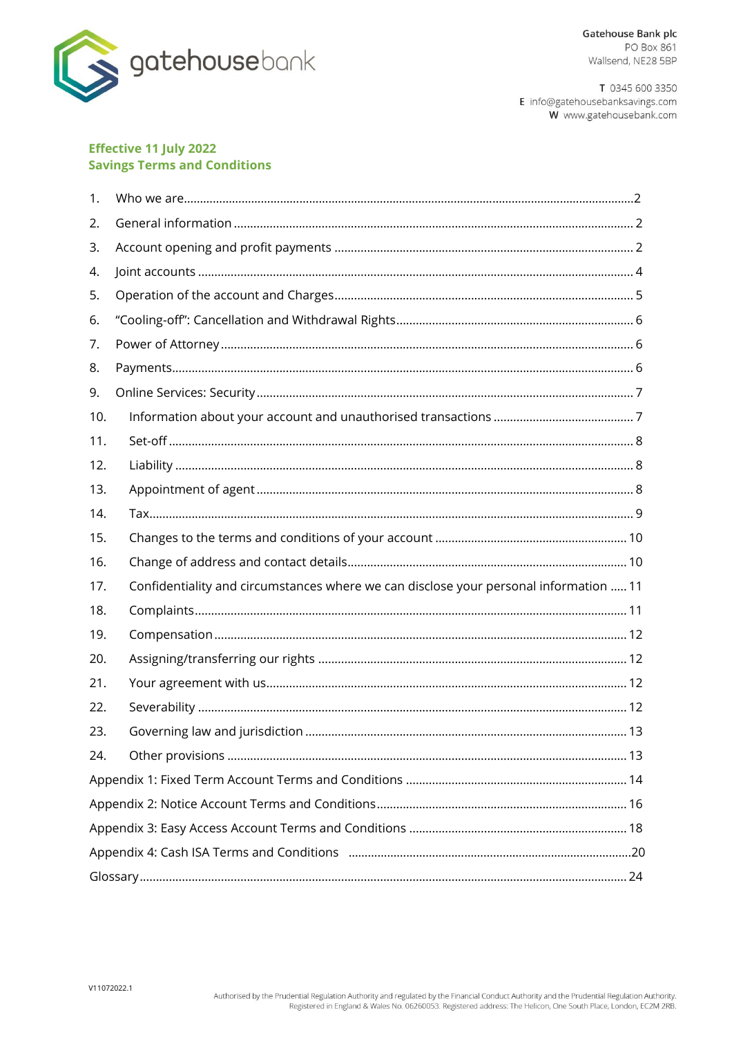

T 0345 600 3350 E info@gatehousebanksavings.com W www.gatehousebank.com

#### **Effective 11 July 2022 Savings Terms and Conditions**

| 1.  |                                                                                       |  |
|-----|---------------------------------------------------------------------------------------|--|
| 2.  |                                                                                       |  |
| 3.  |                                                                                       |  |
| 4.  |                                                                                       |  |
| 5.  |                                                                                       |  |
| 6.  |                                                                                       |  |
| 7.  |                                                                                       |  |
| 8.  |                                                                                       |  |
| 9.  |                                                                                       |  |
| 10. |                                                                                       |  |
| 11. |                                                                                       |  |
| 12. |                                                                                       |  |
| 13. |                                                                                       |  |
| 14. |                                                                                       |  |
| 15. |                                                                                       |  |
| 16. |                                                                                       |  |
| 17. | Confidentiality and circumstances where we can disclose your personal information  11 |  |
| 18. |                                                                                       |  |
| 19. |                                                                                       |  |
| 20. |                                                                                       |  |
| 21. |                                                                                       |  |
| 22. |                                                                                       |  |
| 23. |                                                                                       |  |
| 24. |                                                                                       |  |
|     |                                                                                       |  |
|     |                                                                                       |  |
|     |                                                                                       |  |
|     |                                                                                       |  |
|     |                                                                                       |  |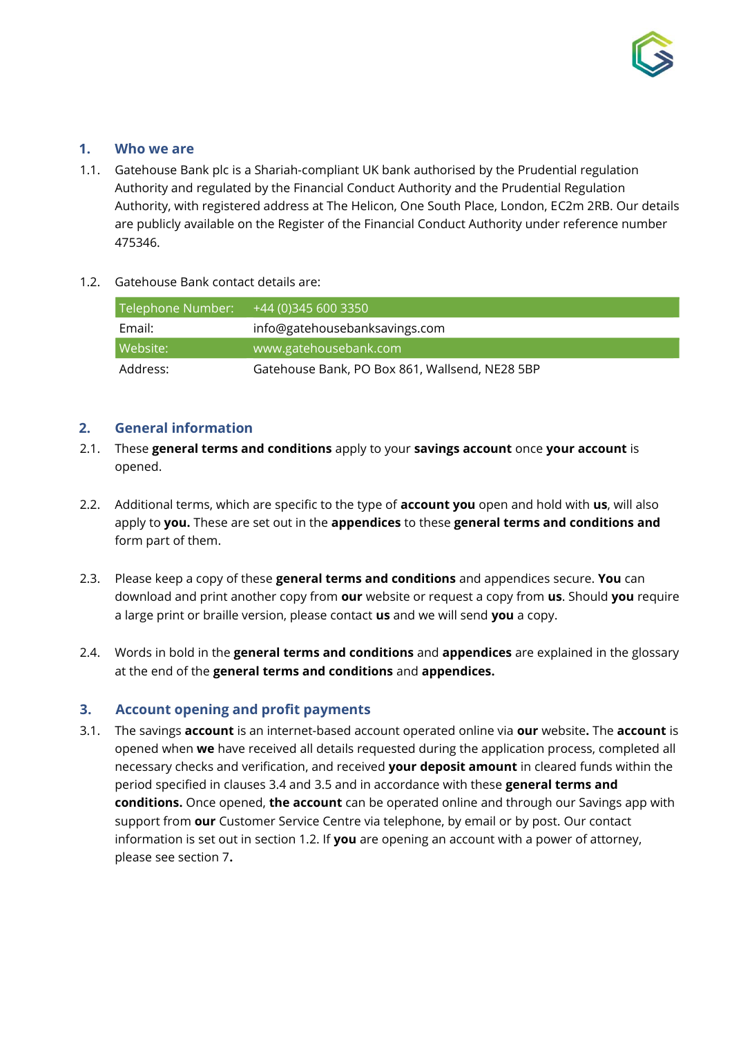

# <span id="page-1-0"></span>**1. Who we are**

1.1. Gatehouse Bank plc is a Shariah-compliant UK bank authorised by the Prudential regulation Authority and regulated by the Financial Conduct Authority and the Prudential Regulation Authority, with registered address at The Helicon, One South Place, London, EC2m 2RB. Our details are publicly available on the Register of the Financial Conduct Authority under reference number 475346.

#### 1.2. Gatehouse Bank contact details are:

| Telephone Number: | +44 (0)345 600 3350                            |
|-------------------|------------------------------------------------|
| Email:            | info@gatehousebanksavings.com                  |
| Website:          | www.gatehousebank.com                          |
| Address:          | Gatehouse Bank, PO Box 861, Wallsend, NE28 5BP |

## **2. General information**

- 2.1. These **general terms and conditions** apply to your **savings account** once **your account** is opened.
- 2.2. Additional terms, which are specific to the type of **account you** open and hold with **us**, will also apply to **you.** These are set out in the **appendices** to these **general terms and conditions and** form part of them.
- 2.3. Please keep a copy of these **general terms and conditions** and appendices secure. **You** can download and print another copy from **our** website or request a copy from **us**. Should **you** require a large print or braille version, please contact **us** and we will send **you** a copy.
- 2.4. Words in bold in the **general terms and conditions** and **appendices** are explained in the glossary at the end of the **general terms and conditions** and **appendices.**

# <span id="page-1-1"></span>**3. Account opening and profit payments**

3.1. The savings **account** is an internet-based account operated online via **our** website**.** The **account** is opened when **we** have received all details requested during the application process, completed all necessary checks and verification, and received **your deposit amount** in cleared funds within the period specified in clauses 3.4 and 3.5 and in accordance with these **general terms and conditions.** Once opened, **the account** can be operated online and through our Savings app with support from **our** Customer Service Centre via telephone, by email or by post. Our contact information is set out in section 1.2. If **you** are opening an account with a power of attorney, please see section 7**.**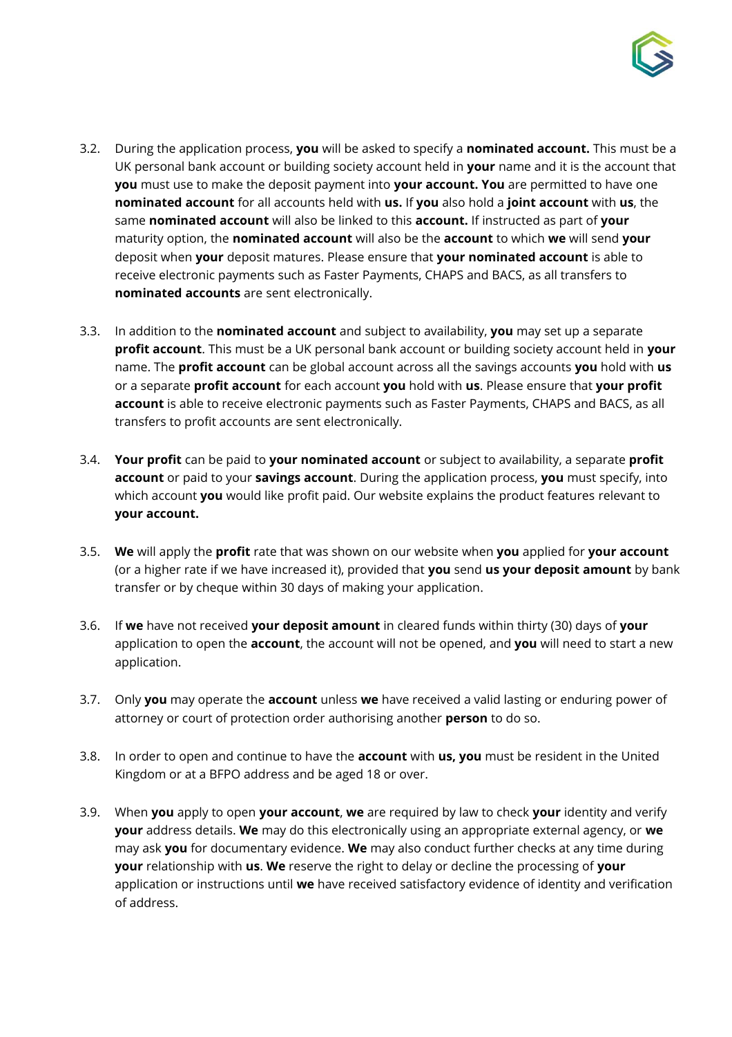

- 3.2. During the application process, **you** will be asked to specify a **nominated account.** This must be a UK personal bank account or building society account held in **your** name and it is the account that **you** must use to make the deposit payment into **your account. You** are permitted to have one **nominated account** for all accounts held with **us.** If **you** also hold a **joint account** with **us**, the same **nominated account** will also be linked to this **account.** If instructed as part of **your** maturity option, the **nominated account** will also be the **account** to which **we** will send **your** deposit when **your** deposit matures. Please ensure that **your nominated account** is able to receive electronic payments such as Faster Payments, CHAPS and BACS, as all transfers to **nominated accounts** are sent electronically.
- 3.3. In addition to the **nominated account** and subject to availability, **you** may set up a separate **profit account**. This must be a UK personal bank account or building society account held in **your** name. The **profit account** can be global account across all the savings accounts **you** hold with **us**  or a separate **profit account** for each account **you** hold with **us**. Please ensure that **your profit account** is able to receive electronic payments such as Faster Payments, CHAPS and BACS, as all transfers to profit accounts are sent electronically.
- 3.4. **Your profit** can be paid to **your nominated account** or subject to availability, a separate **profit account** or paid to your **savings account**. During the application process, **you** must specify, into which account **you** would like profit paid. Our website explains the product features relevant to **your account.**
- 3.5. **We** will apply the **profit** rate that was shown on our website when **you** applied for **your account** (or a higher rate if we have increased it), provided that **you** send **us your deposit amount** by bank transfer or by cheque within 30 days of making your application.
- 3.6. If **we** have not received **your deposit amount** in cleared funds within thirty (30) days of **your** application to open the **account**, the account will not be opened, and **you** will need to start a new application.
- 3.7. Only **you** may operate the **account** unless **we** have received a valid lasting or enduring power of attorney or court of protection order authorising another **person** to do so.
- 3.8. In order to open and continue to have the **account** with **us, you** must be resident in the United Kingdom or at a BFPO address and be aged 18 or over.
- 3.9. When **you** apply to open **your account**, **we** are required by law to check **your** identity and verify **your** address details. **We** may do this electronically using an appropriate external agency, or **we** may ask **you** for documentary evidence. **We** may also conduct further checks at any time during **your** relationship with **us**. **We** reserve the right to delay or decline the processing of **your** application or instructions until **we** have received satisfactory evidence of identity and verification of address.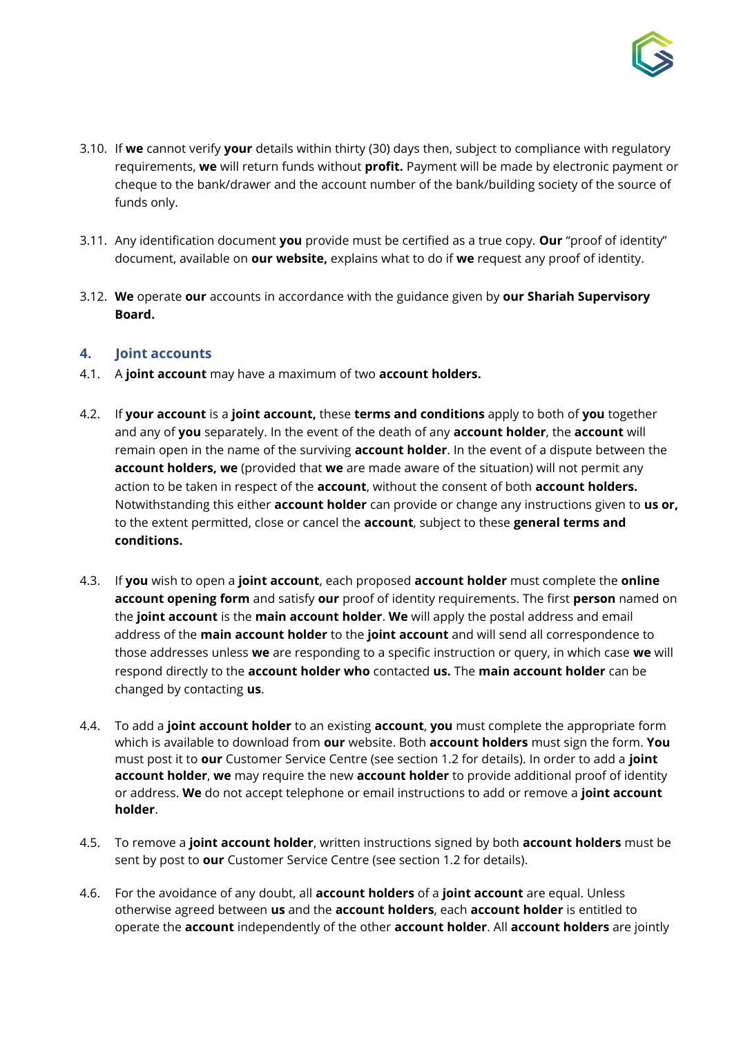

- 3.10. If **we** cannot verify **your** details within thirty (30) days then, subject to compliance with regulatory requirements, **we** will return funds without **profit.** Payment will be made by electronic payment or cheque to the bank/drawer and the account number of the bank/building society of the source of funds only.
- 3.11. Any identification document **you** provide must be certified as a true copy. **Our** "proof of identity" document, available on **our website,** explains what to do if **we** request any proof of identity.
- 3.12. **We** operate **our** accounts in accordance with the guidance given by **our Shariah Supervisory Board.**

## <span id="page-3-0"></span>**4. Joint accounts**

- 4.1. A **joint account** may have a maximum of two **account holders.**
- 4.2. If **your account** is a **joint account,** these **terms and conditions** apply to both of **you** together and any of **you** separately. In the event of the death of any **account holder**, the **account** will remain open in the name of the surviving **account holder**. In the event of a dispute between the **account holders, we** (provided that **we** are made aware of the situation) will not permit any action to be taken in respect of the **account**, without the consent of both **account holders.**  Notwithstanding this either **account holder** can provide or change any instructions given to **us or,**  to the extent permitted, close or cancel the **account**, subject to these **general terms and conditions.**
- 4.3. If **you** wish to open a **joint account**, each proposed **account holder** must complete the **online account opening form** and satisfy **our** proof of identity requirements. The first **person** named on the **joint account** is the **main account holder**. **We** will apply the postal address and email address of the **main account holder** to the **joint account** and will send all correspondence to those addresses unless **we** are responding to a specific instruction or query, in which case **we** will respond directly to the **account holder who** contacted **us.** The **main account holder** can be changed by contacting **us**.
- 4.4. To add a **joint account holder** to an existing **account**, **you** must complete the appropriate form which is available to download from **our** website. Both **account holders** must sign the form. **You** must post it to **our** Customer Service Centre (see section 1.2 for details). In order to add a **joint account holder**, **we** may require the new **account holder** to provide additional proof of identity or address. **We** do not accept telephone or email instructions to add or remove a **joint account holder**.
- 4.5. To remove a **joint account holder**, written instructions signed by both **account holders** must be sent by post to **our** Customer Service Centre (see section 1.2 for details).
- 4.6. For the avoidance of any doubt, all **account holders** of a **joint account** are equal. Unless otherwise agreed between **us** and the **account holders**, each **account holder** is entitled to operate the **account** independently of the other **account holder**. All **account holders** are jointly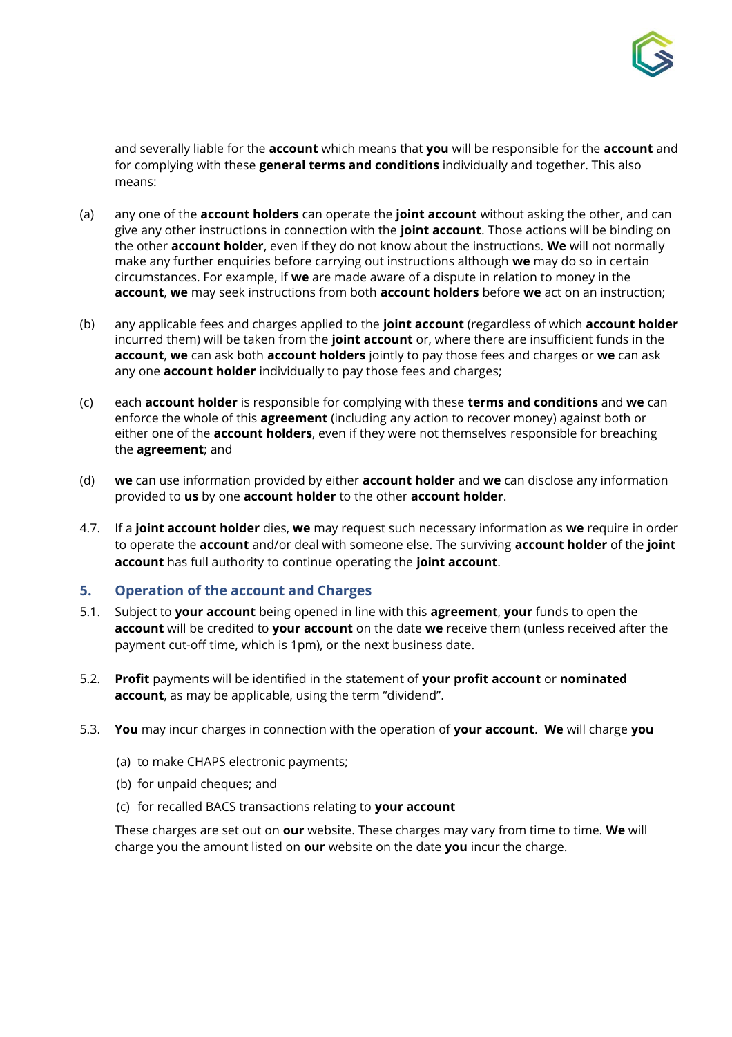

and severally liable for the **account** which means that **you** will be responsible for the **account** and for complying with these **general terms and conditions** individually and together. This also means:

- (a) any one of the **account holders** can operate the **joint account** without asking the other, and can give any other instructions in connection with the **joint account**. Those actions will be binding on the other **account holder**, even if they do not know about the instructions. **We** will not normally make any further enquiries before carrying out instructions although **we** may do so in certain circumstances. For example, if **we** are made aware of a dispute in relation to money in the **account**, **we** may seek instructions from both **account holders** before **we** act on an instruction;
- (b) any applicable fees and charges applied to the **joint account** (regardless of which **account holder** incurred them) will be taken from the **joint account** or, where there are insufficient funds in the **account**, **we** can ask both **account holders** jointly to pay those fees and charges or **we** can ask any one **account holder** individually to pay those fees and charges;
- (c) each **account holder** is responsible for complying with these **terms and conditions** and **we** can enforce the whole of this **agreement** (including any action to recover money) against both or either one of the **account holders**, even if they were not themselves responsible for breaching the **agreement**; and
- (d) **we** can use information provided by either **account holder** and **we** can disclose any information provided to **us** by one **account holder** to the other **account holder**.
- 4.7. If a **joint account holder** dies, **we** may request such necessary information as **we** require in order to operate the **account** and/or deal with someone else. The surviving **account holder** of the **joint account** has full authority to continue operating the **joint account**.

#### <span id="page-4-0"></span>**5. Operation of the account and Charges**

- 5.1. Subject to **your account** being opened in line with this **agreement**, **your** funds to open the **account** will be credited to **your account** on the date **we** receive them (unless received after the payment cut-off time, which is 1pm), or the next business date.
- 5.2. **Profit** payments will be identified in the statement of **your profit account** or **nominated account**, as may be applicable, using the term "dividend".
- 5.3. **You** may incur charges in connection with the operation of **your account**. **We** will charge **you**
	- (a) to make CHAPS electronic payments;
	- (b) for unpaid cheques; and
	- (c) for recalled BACS transactions relating to **your account**

These charges are set out on **our** website. These charges may vary from time to time. **We** will charge you the amount listed on **our** website on the date **you** incur the charge.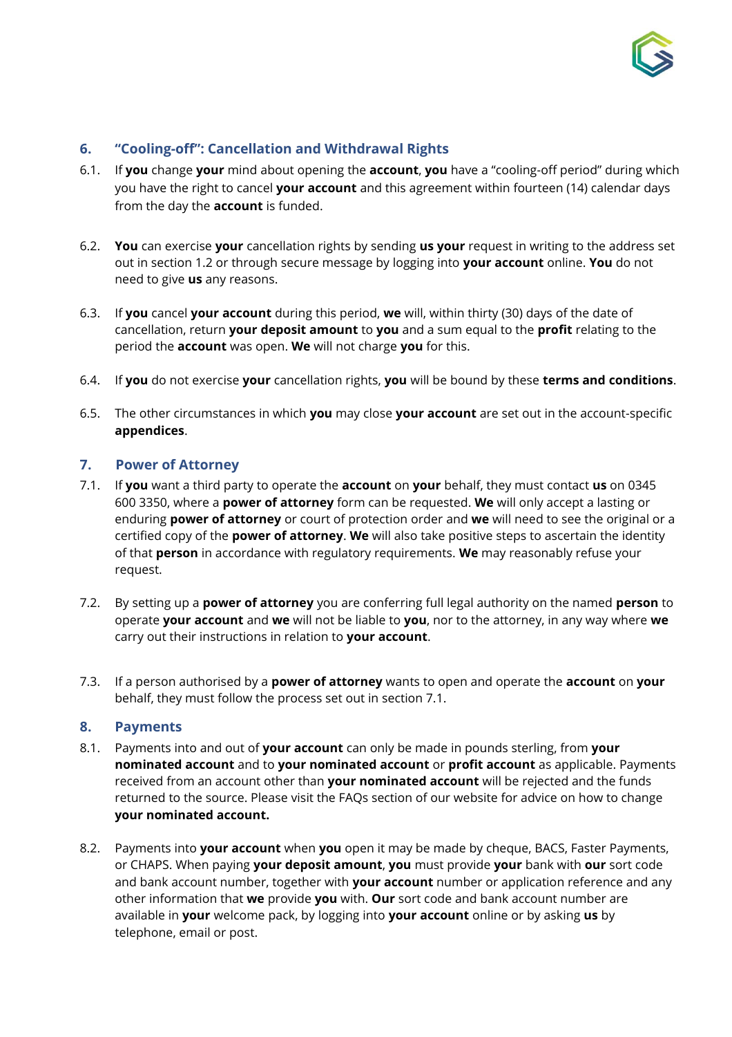

# <span id="page-5-0"></span>**6. "Cooling-off": Cancellation and Withdrawal Rights**

- 6.1. If **you** change **your** mind about opening the **account**, **you** have a "cooling-off period" during which you have the right to cancel **your account** and this agreement within fourteen (14) calendar days from the day the **account** is funded.
- 6.2. **You** can exercise **your** cancellation rights by sending **us your** request in writing to the address set out in section 1.2 or through secure message by logging into **your account** online. **You** do not need to give **us** any reasons.
- 6.3. If **you** cancel **your account** during this period, **we** will, within thirty (30) days of the date of cancellation, return **your deposit amount** to **you** and a sum equal to the **profit** relating to the period the **account** was open. **We** will not charge **you** for this.
- 6.4. If **you** do not exercise **your** cancellation rights, **you** will be bound by these **terms and conditions**.
- 6.5. The other circumstances in which **you** may close **your account** are set out in the account-specific **appendices**.

# <span id="page-5-1"></span>**7. Power of Attorney**

- 7.1. If **you** want a third party to operate the **account** on **your** behalf, they must contact **us** on 0345 600 3350, where a **power of attorney** form can be requested. **We** will only accept a lasting or enduring **power of attorney** or court of protection order and **we** will need to see the original or a certified copy of the **power of attorney**. **We** will also take positive steps to ascertain the identity of that **person** in accordance with regulatory requirements. **We** may reasonably refuse your request.
- 7.2. By setting up a **power of attorney** you are conferring full legal authority on the named **person** to operate **your account** and **we** will not be liable to **you**, nor to the attorney, in any way where **we** carry out their instructions in relation to **your account**.
- 7.3. If a person authorised by a **power of attorney** wants to open and operate the **account** on **your** behalf, they must follow the process set out in section 7.1.

#### <span id="page-5-2"></span>**8. Payments**

- 8.1. Payments into and out of **your account** can only be made in pounds sterling, from **your nominated account** and to **your nominated account** or **profit account** as applicable. Payments received from an account other than **your nominated account** will be rejected and the funds returned to the source. Please visit the FAQs section of our website for advice on how to change **your nominated account.**
- 8.2. Payments into **your account** when **you** open it may be made by cheque, BACS, Faster Payments, or CHAPS. When paying **your deposit amount**, **you** must provide **your** bank with **our** sort code and bank account number, together with **your account** number or application reference and any other information that **we** provide **you** with. **Our** sort code and bank account number are available in **your** welcome pack, by logging into **your account** online or by asking **us** by telephone, email or post.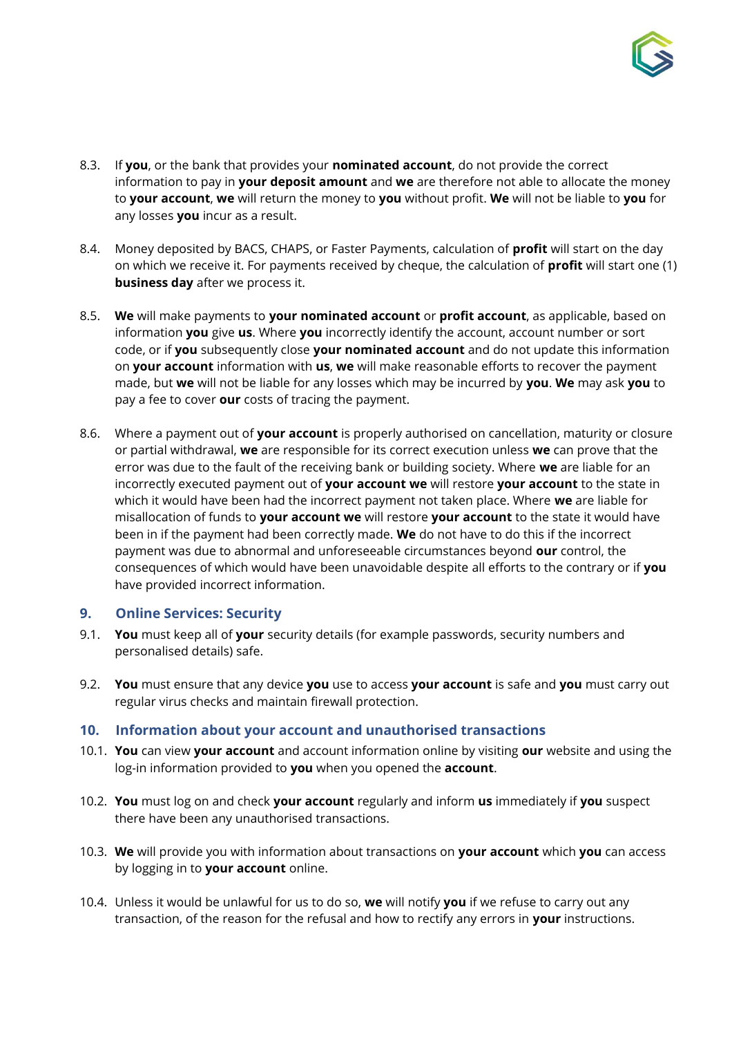

- 8.3. If **you**, or the bank that provides your **nominated account**, do not provide the correct information to pay in **your deposit amount** and **we** are therefore not able to allocate the money to **your account**, **we** will return the money to **you** without profit. **We** will not be liable to **you** for any losses **you** incur as a result.
- 8.4. Money deposited by BACS, CHAPS, or Faster Payments, calculation of **profit** will start on the day on which we receive it. For payments received by cheque, the calculation of **profit** will start one (1) **business day** after we process it.
- 8.5. **We** will make payments to **your nominated account** or **profit account**, as applicable, based on information **you** give **us**. Where **you** incorrectly identify the account, account number or sort code, or if **you** subsequently close **your nominated account** and do not update this information on **your account** information with **us**, **we** will make reasonable efforts to recover the payment made, but **we** will not be liable for any losses which may be incurred by **you**. **We** may ask **you** to pay a fee to cover **our** costs of tracing the payment.
- 8.6. Where a payment out of **your account** is properly authorised on cancellation, maturity or closure or partial withdrawal, **we** are responsible for its correct execution unless **we** can prove that the error was due to the fault of the receiving bank or building society. Where **we** are liable for an incorrectly executed payment out of **your account we** will restore **your account** to the state in which it would have been had the incorrect payment not taken place. Where **we** are liable for misallocation of funds to **your account we** will restore **your account** to the state it would have been in if the payment had been correctly made. **We** do not have to do this if the incorrect payment was due to abnormal and unforeseeable circumstances beyond **our** control, the consequences of which would have been unavoidable despite all efforts to the contrary or if **you** have provided incorrect information.

# <span id="page-6-0"></span>**9. Online Services: Security**

- 9.1. **You** must keep all of **your** security details (for example passwords, security numbers and personalised details) safe.
- 9.2. **You** must ensure that any device **you** use to access **your account** is safe and **you** must carry out regular virus checks and maintain firewall protection.

#### <span id="page-6-1"></span>**10. Information about your account and unauthorised transactions**

- 10.1. **You** can view **your account** and account information online by visiting **our** website and using the log-in information provided to **you** when you opened the **account**.
- 10.2. **You** must log on and check **your account** regularly and inform **us** immediately if **you** suspect there have been any unauthorised transactions.
- 10.3. **We** will provide you with information about transactions on **your account** which **you** can access by logging in to **your account** online.
- 10.4. Unless it would be unlawful for us to do so, **we** will notify **you** if we refuse to carry out any transaction, of the reason for the refusal and how to rectify any errors in **your** instructions.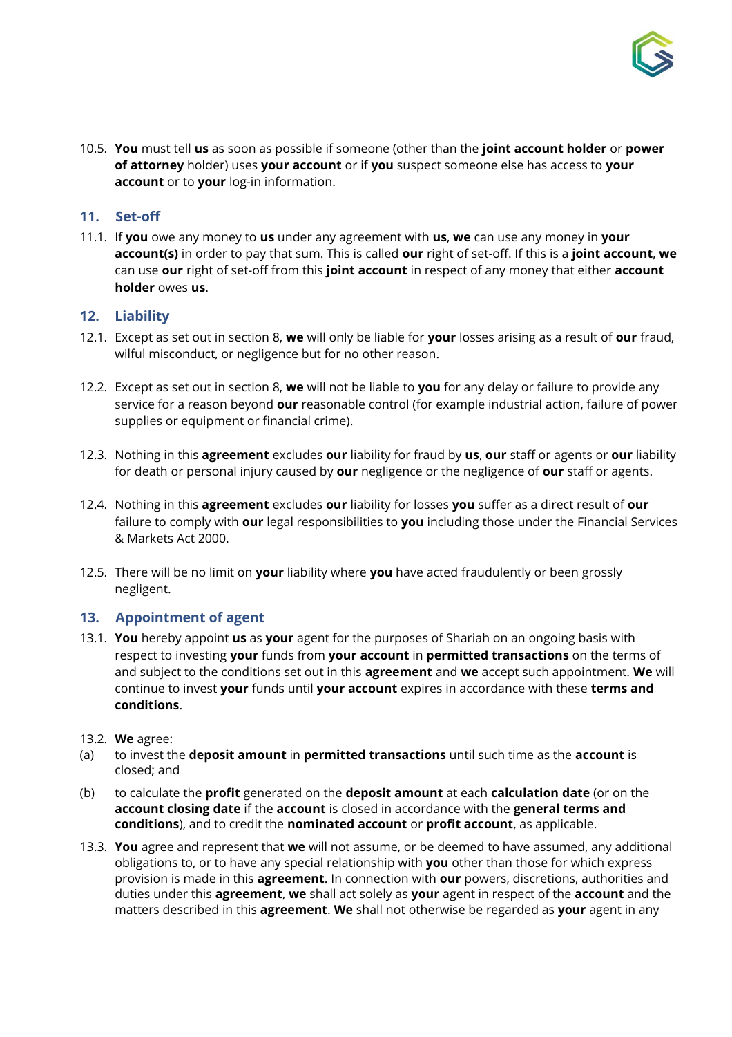

10.5. **You** must tell **us** as soon as possible if someone (other than the **joint account holder** or **power of attorney** holder) uses **your account** or if **you** suspect someone else has access to **your account** or to **your** log-in information.

## <span id="page-7-0"></span>**11. Set-off**

11.1. If **you** owe any money to **us** under any agreement with **us**, **we** can use any money in **your account(s)** in order to pay that sum. This is called **our** right of set-off. If this is a **joint account**, **we** can use **our** right of set-off from this **joint account** in respect of any money that either **account holder** owes **us**.

#### <span id="page-7-1"></span>**12. Liability**

- 12.1. Except as set out in section 8, **we** will only be liable for **your** losses arising as a result of **our** fraud, wilful misconduct, or negligence but for no other reason.
- 12.2. Except as set out in section 8, **we** will not be liable to **you** for any delay or failure to provide any service for a reason beyond **our** reasonable control (for example industrial action, failure of power supplies or equipment or financial crime).
- 12.3. Nothing in this **agreement** excludes **our** liability for fraud by **us**, **our** staff or agents or **our** liability for death or personal injury caused by **our** negligence or the negligence of **our** staff or agents.
- 12.4. Nothing in this **agreement** excludes **our** liability for losses **you** suffer as a direct result of **our** failure to comply with **our** legal responsibilities to **you** including those under the Financial Services & Markets Act 2000.
- 12.5. There will be no limit on **your** liability where **you** have acted fraudulently or been grossly negligent.

#### <span id="page-7-2"></span>**13. Appointment of agent**

- 13.1. **You** hereby appoint **us** as **your** agent for the purposes of Shariah on an ongoing basis with respect to investing **your** funds from **your account** in **permitted transactions** on the terms of and subject to the conditions set out in this **agreement** and **we** accept such appointment. **We** will continue to invest **your** funds until **your account** expires in accordance with these **terms and conditions**.
- 13.2. **We** agree:
- (a) to invest the **deposit amount** in **permitted transactions** until such time as the **account** is closed; and
- (b) to calculate the **profit** generated on the **deposit amount** at each **calculation date** (or on the **account closing date** if the **account** is closed in accordance with the **general terms and conditions**), and to credit the **nominated account** or **profit account**, as applicable.
- 13.3. **You** agree and represent that **we** will not assume, or be deemed to have assumed, any additional obligations to, or to have any special relationship with **you** other than those for which express provision is made in this **agreement**. In connection with **our** powers, discretions, authorities and duties under this **agreement**, **we** shall act solely as **your** agent in respect of the **account** and the matters described in this **agreement**. **We** shall not otherwise be regarded as **your** agent in any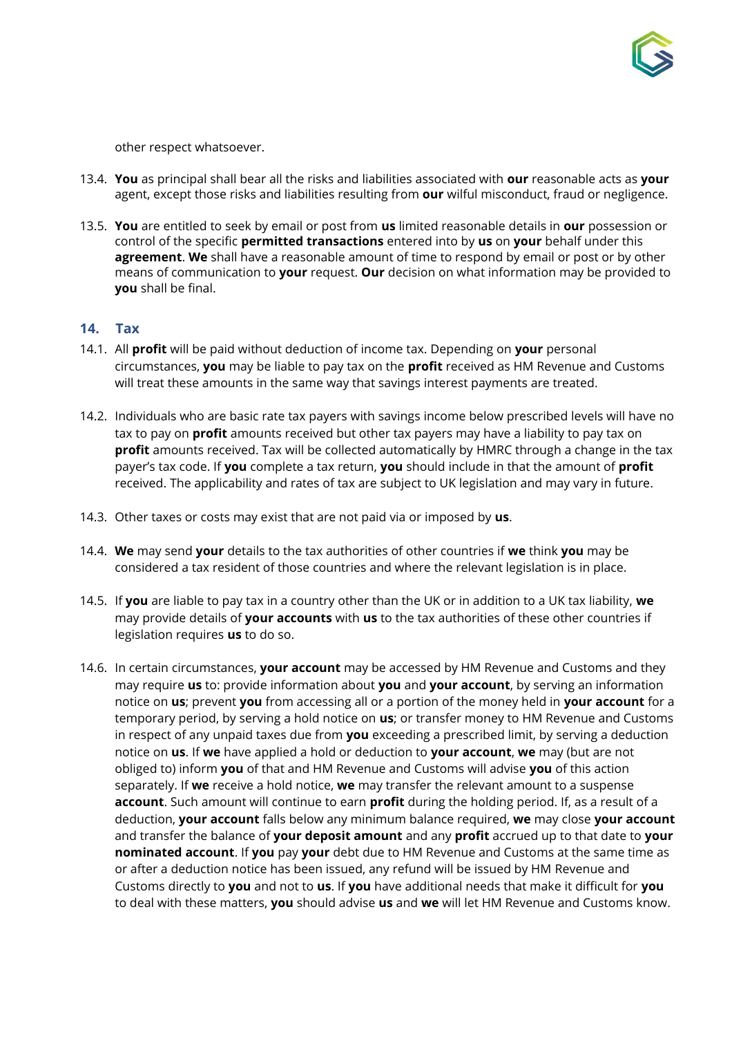

other respect whatsoever.

- 13.4. **You** as principal shall bear all the risks and liabilities associated with **our** reasonable acts as **your** agent, except those risks and liabilities resulting from **our** wilful misconduct, fraud or negligence.
- 13.5. **You** are entitled to seek by email or post from **us** limited reasonable details in **our** possession or control of the specific **permitted transactions** entered into by **us** on **your** behalf under this **agreement**. **We** shall have a reasonable amount of time to respond by email or post or by other means of communication to **your** request. **Our** decision on what information may be provided to **you** shall be final.

#### <span id="page-8-0"></span>**14. Tax**

- 14.1. All **profit** will be paid without deduction of income tax. Depending on **your** personal circumstances, **you** may be liable to pay tax on the **profit** received as HM Revenue and Customs will treat these amounts in the same way that savings interest payments are treated.
- 14.2. Individuals who are basic rate tax payers with savings income below prescribed levels will have no tax to pay on **profit** amounts received but other tax payers may have a liability to pay tax on **profit** amounts received. Tax will be collected automatically by HMRC through a change in the tax payer's tax code. If **you** complete a tax return, **you** should include in that the amount of **profit** received. The applicability and rates of tax are subject to UK legislation and may vary in future.
- 14.3. Other taxes or costs may exist that are not paid via or imposed by **us**.
- 14.4. **We** may send **your** details to the tax authorities of other countries if **we** think **you** may be considered a tax resident of those countries and where the relevant legislation is in place.
- 14.5. If **you** are liable to pay tax in a country other than the UK or in addition to a UK tax liability, **we** may provide details of **your accounts** with **us** to the tax authorities of these other countries if legislation requires **us** to do so.
- 14.6. In certain circumstances, **your account** may be accessed by HM Revenue and Customs and they may require **us** to: provide information about **you** and **your account**, by serving an information notice on **us**; prevent **you** from accessing all or a portion of the money held in **your account** for a temporary period, by serving a hold notice on **us**; or transfer money to HM Revenue and Customs in respect of any unpaid taxes due from **you** exceeding a prescribed limit, by serving a deduction notice on **us**. If **we** have applied a hold or deduction to **your account**, **we** may (but are not obliged to) inform **you** of that and HM Revenue and Customs will advise **you** of this action separately. If **we** receive a hold notice, **we** may transfer the relevant amount to a suspense **account**. Such amount will continue to earn **profit** during the holding period. If, as a result of a deduction, **your account** falls below any minimum balance required, **we** may close **your account** and transfer the balance of **your deposit amount** and any **profit** accrued up to that date to **your nominated account**. If **you** pay **your** debt due to HM Revenue and Customs at the same time as or after a deduction notice has been issued, any refund will be issued by HM Revenue and Customs directly to **you** and not to **us**. If **you** have additional needs that make it difficult for **you** to deal with these matters, **you** should advise **us** and **we** will let HM Revenue and Customs know.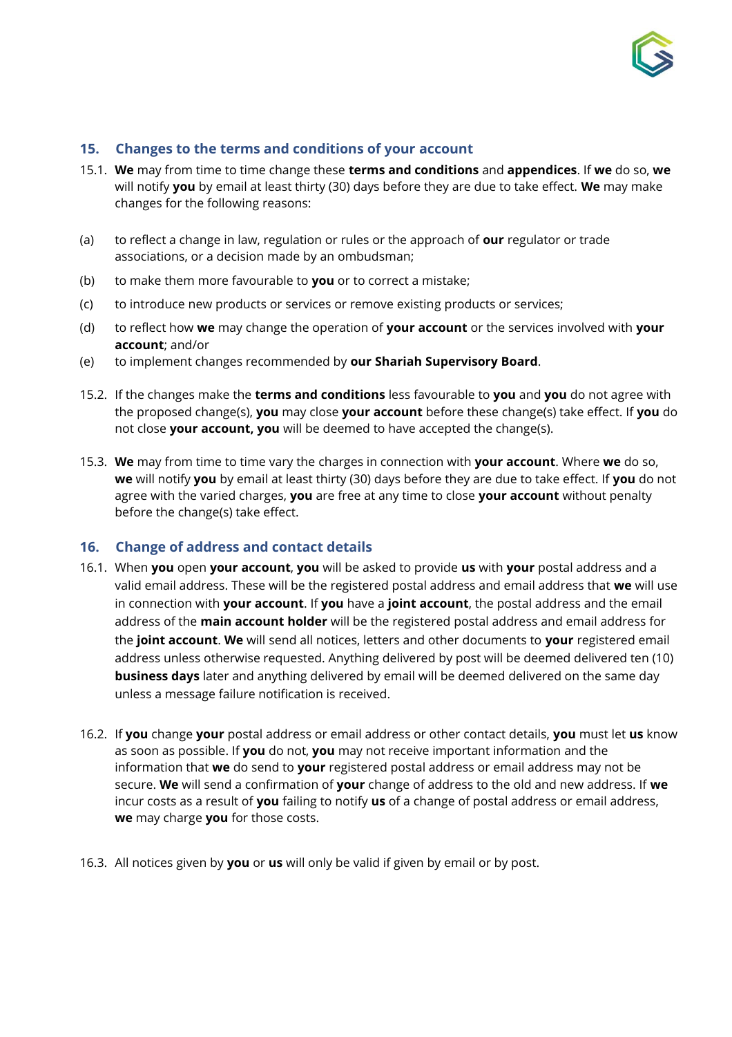

## <span id="page-9-0"></span>**15. Changes to the terms and conditions of your account**

- 15.1. **We** may from time to time change these **terms and conditions** and **appendices**. If **we** do so, **we**  will notify **you** by email at least thirty (30) days before they are due to take effect. **We** may make changes for the following reasons:
- (a) to reflect a change in law, regulation or rules or the approach of **our** regulator or trade associations, or a decision made by an ombudsman;
- (b) to make them more favourable to **you** or to correct a mistake;
- (c) to introduce new products or services or remove existing products or services;
- (d) to reflect how **we** may change the operation of **your account** or the services involved with **your account**; and/or
- (e) to implement changes recommended by **our Shariah Supervisory Board**.
- 15.2. If the changes make the **terms and conditions** less favourable to **you** and **you** do not agree with the proposed change(s), **you** may close **your account** before these change(s) take effect. If **you** do not close **your account, you** will be deemed to have accepted the change(s).
- 15.3. **We** may from time to time vary the charges in connection with **your account**. Where **we** do so, **we** will notify **you** by email at least thirty (30) days before they are due to take effect. If **you** do not agree with the varied charges, **you** are free at any time to close **your account** without penalty before the change(s) take effect.

#### <span id="page-9-1"></span>**16. Change of address and contact details**

- 16.1. When **you** open **your account**, **you** will be asked to provide **us** with **your** postal address and a valid email address. These will be the registered postal address and email address that **we** will use in connection with **your account**. If **you** have a **joint account**, the postal address and the email address of the **main account holder** will be the registered postal address and email address for the **joint account**. **We** will send all notices, letters and other documents to **your** registered email address unless otherwise requested. Anything delivered by post will be deemed delivered ten (10) **business days** later and anything delivered by email will be deemed delivered on the same day unless a message failure notification is received.
- 16.2. If **you** change **your** postal address or email address or other contact details, **you** must let **us** know as soon as possible. If **you** do not, **you** may not receive important information and the information that **we** do send to **your** registered postal address or email address may not be secure. **We** will send a confirmation of **your** change of address to the old and new address. If **we** incur costs as a result of **you** failing to notify **us** of a change of postal address or email address, **we** may charge **you** for those costs.
- 16.3. All notices given by **you** or **us** will only be valid if given by email or by post.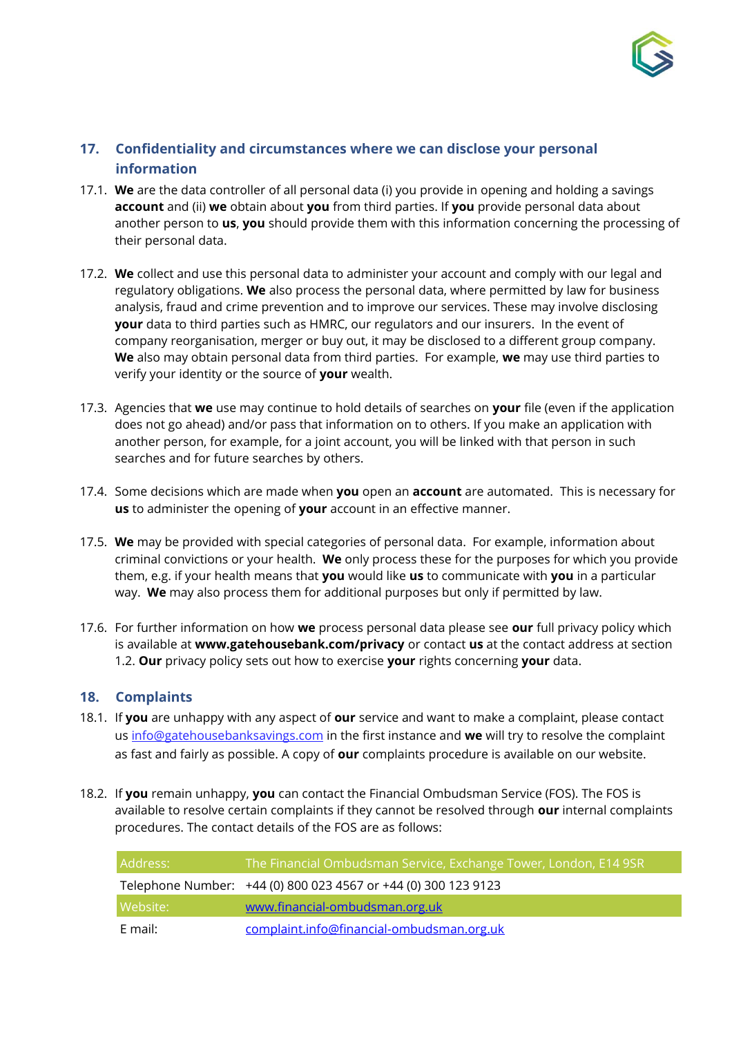

# <span id="page-10-0"></span>**17. Confidentiality and circumstances where we can disclose your personal information**

- 17.1. **We** are the data controller of all personal data (i) you provide in opening and holding a savings **account** and (ii) **we** obtain about **you** from third parties. If **you** provide personal data about another person to **us**, **you** should provide them with this information concerning the processing of their personal data.
- 17.2. **We** collect and use this personal data to administer your account and comply with our legal and regulatory obligations. **We** also process the personal data, where permitted by law for business analysis, fraud and crime prevention and to improve our services. These may involve disclosing **your** data to third parties such as HMRC, our regulators and our insurers. In the event of company reorganisation, merger or buy out, it may be disclosed to a different group company. **We** also may obtain personal data from third parties. For example, **we** may use third parties to verify your identity or the source of **your** wealth.
- 17.3. Agencies that **we** use may continue to hold details of searches on **your** file (even if the application does not go ahead) and/or pass that information on to others. If you make an application with another person, for example, for a joint account, you will be linked with that person in such searches and for future searches by others.
- 17.4. Some decisions which are made when **you** open an **account** are automated. This is necessary for **us** to administer the opening of **your** account in an effective manner.
- 17.5. **We** may be provided with special categories of personal data. For example, information about criminal convictions or your health. **We** only process these for the purposes for which you provide them, e.g. if your health means that **you** would like **us** to communicate with **you** in a particular way. **We** may also process them for additional purposes but only if permitted by law.
- 17.6. For further information on how **we** process personal data please see **our** full privacy policy which is available at **www.gatehousebank.com/privacy** or contact **us** at the contact address at section 1.2. **Our** privacy policy sets out how to exercise **your** rights concerning **your** data.

#### <span id="page-10-1"></span>**18. Complaints**

- 18.1. If **you** are unhappy with any aspect of **our** service and want to make a complaint, please contact us info@gatehousebanksavings.com in the first instance and **we** will try to resolve the complaint as fast and fairly as possible. A copy of **our** complaints procedure is available on our website.
- 18.2. If **you** remain unhappy, **you** can contact the Financial Ombudsman Service (FOS). The FOS is available to resolve certain complaints if they cannot be resolved through **our** internal complaints procedures. The contact details of the FOS are as follows:

| Address: | The Financial Ombudsman Service, Exchange Tower, London, E14 9SR <sub>l</sub> |
|----------|-------------------------------------------------------------------------------|
|          | Telephone Number: +44 (0) 800 023 4567 or +44 (0) 300 123 9123                |
| Website: | www.financial-ombudsman.org.uk                                                |
| E mail:  | complaint.info@financial-ombudsman.org.uk                                     |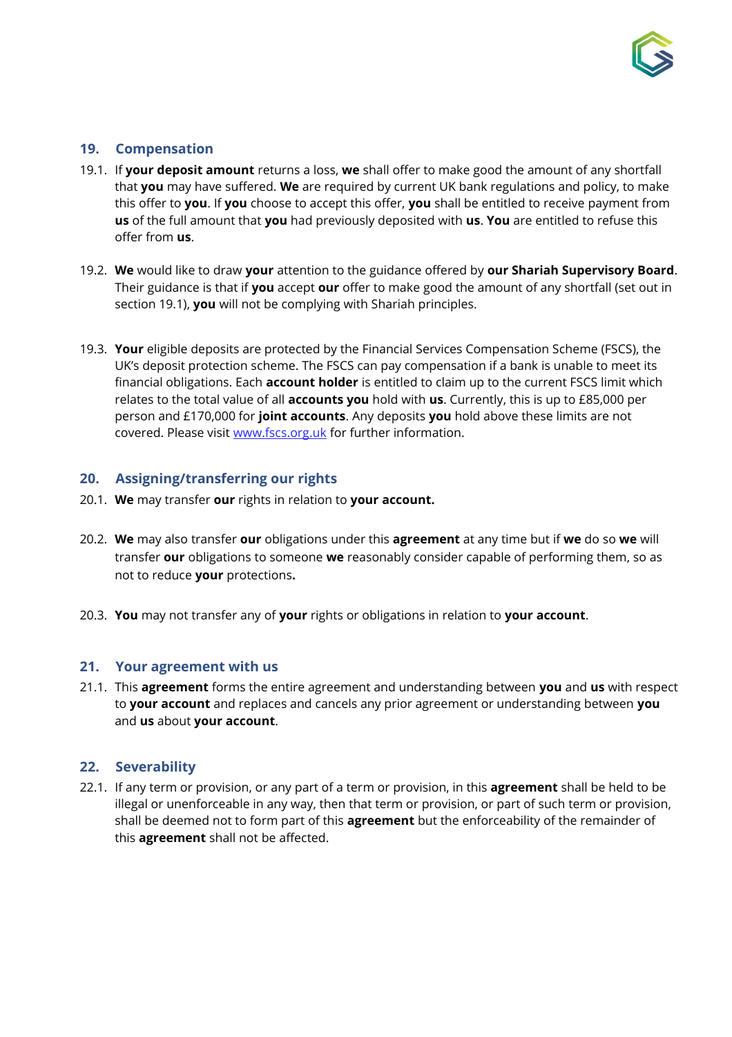

# <span id="page-11-0"></span>**19. Compensation**

- 19.1. If **your deposit amount** returns a loss, **we** shall offer to make good the amount of any shortfall that **you** may have suffered. **We** are required by current UK bank regulations and policy, to make this offer to **you**. If **you** choose to accept this offer, **you** shall be entitled to receive payment from **us** of the full amount that **you** had previously deposited with **us**. **You** are entitled to refuse this offer from **us**.
- 19.2. **We** would like to draw **your** attention to the guidance offered by **our Shariah Supervisory Board**. Their guidance is that if **you** accept **our** offer to make good the amount of any shortfall (set out in section 19.1), **you** will not be complying with Shariah principles.
- 19.3. **Your** eligible deposits are protected by the Financial Services Compensation Scheme (FSCS), the UK's deposit protection scheme. The FSCS can pay compensation if a bank is unable to meet its financial obligations. Each **account holder** is entitled to claim up to the current FSCS limit which relates to the total value of all **accounts you** hold with **us**. Currently, this is up to £85,000 per person and £170,000 for **joint accounts**. Any deposits **you** hold above these limits are not covered. Please visit www.fscs.org.uk for further information.

## <span id="page-11-1"></span>**20. Assigning/transferring our rights**

- 20.1. **We** may transfer **our** rights in relation to **your account.**
- 20.2. **We** may also transfer **our** obligations under this **agreement** at any time but if **we** do so **we** will transfer **our** obligations to someone **we** reasonably consider capable of performing them, so as not to reduce **your** protections**.**
- 20.3. **You** may not transfer any of **your** rights or obligations in relation to **your account**.

# <span id="page-11-2"></span>**21. Your agreement with us**

21.1. This **agreement** forms the entire agreement and understanding between **you** and **us** with respect to **your account** and replaces and cancels any prior agreement or understanding between **you** and **us** about **your account**.

# <span id="page-11-3"></span>**22. Severability**

22.1. If any term or provision, or any part of a term or provision, in this **agreement** shall be held to be illegal or unenforceable in any way, then that term or provision, or part of such term or provision, shall be deemed not to form part of this **agreement** but the enforceability of the remainder of this **agreement** shall not be affected.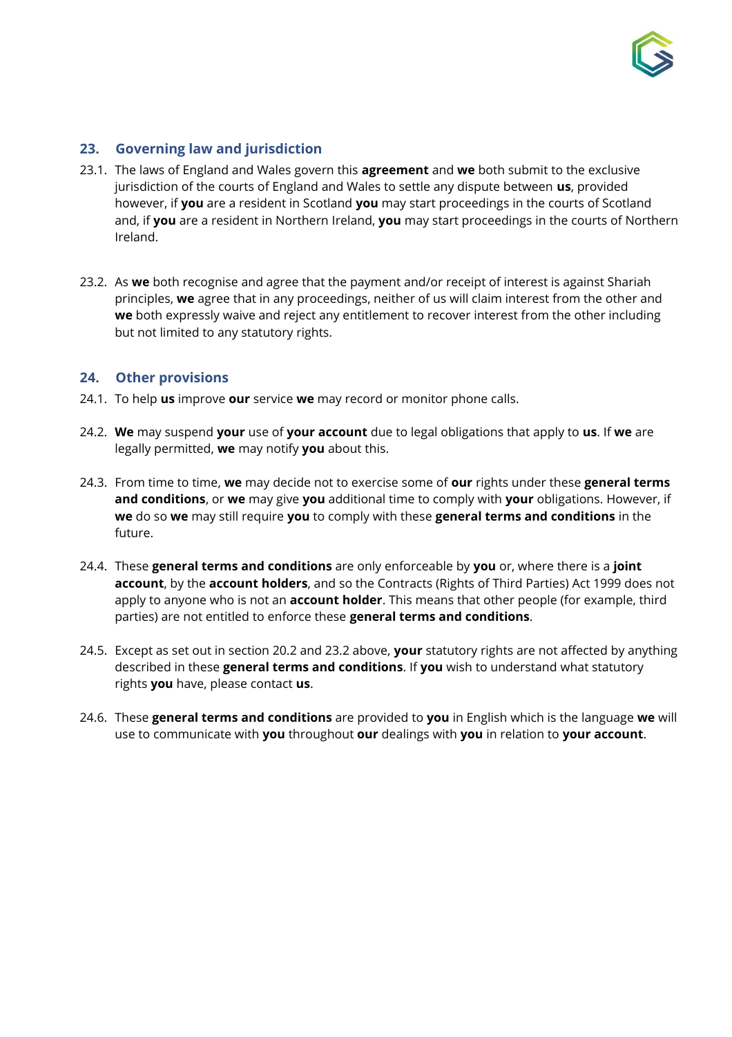

## <span id="page-12-0"></span>**23. Governing law and jurisdiction**

- 23.1. The laws of England and Wales govern this **agreement** and **we** both submit to the exclusive jurisdiction of the courts of England and Wales to settle any dispute between **us**, provided however, if **you** are a resident in Scotland **you** may start proceedings in the courts of Scotland and, if **you** are a resident in Northern Ireland, **you** may start proceedings in the courts of Northern Ireland.
- 23.2. As **we** both recognise and agree that the payment and/or receipt of interest is against Shariah principles, **we** agree that in any proceedings, neither of us will claim interest from the other and **we** both expressly waive and reject any entitlement to recover interest from the other including but not limited to any statutory rights.

#### <span id="page-12-1"></span>**24. Other provisions**

- 24.1. To help **us** improve **our** service **we** may record or monitor phone calls.
- 24.2. **We** may suspend **your** use of **your account** due to legal obligations that apply to **us**. If **we** are legally permitted, **we** may notify **you** about this.
- 24.3. From time to time, **we** may decide not to exercise some of **our** rights under these **general terms and conditions**, or **we** may give **you** additional time to comply with **your** obligations. However, if **we** do so **we** may still require **you** to comply with these **general terms and conditions** in the future.
- 24.4. These **general terms and conditions** are only enforceable by **you** or, where there is a **joint account**, by the **account holders**, and so the Contracts (Rights of Third Parties) Act 1999 does not apply to anyone who is not an **account holder**. This means that other people (for example, third parties) are not entitled to enforce these **general terms and conditions**.
- 24.5. Except as set out in section 20.2 and 23.2 above, **your** statutory rights are not affected by anything described in these **general terms and conditions**. If **you** wish to understand what statutory rights **you** have, please contact **us**.
- 24.6. These **general terms and conditions** are provided to **you** in English which is the language **we** will use to communicate with **you** throughout **our** dealings with **you** in relation to **your account**.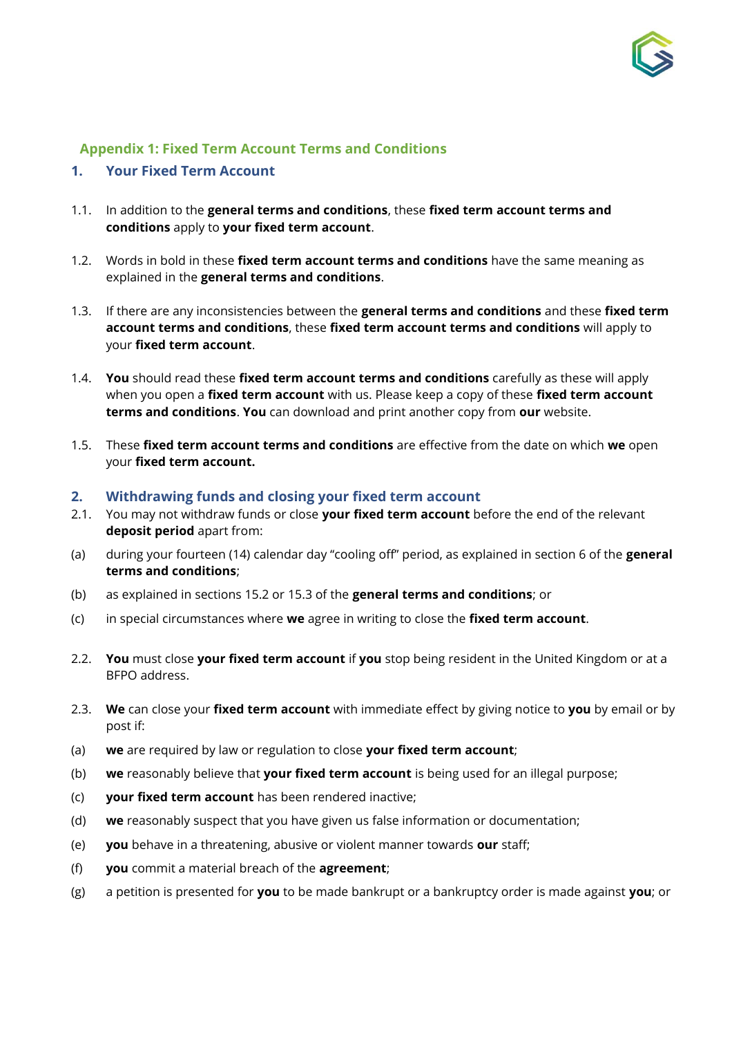

## <span id="page-13-0"></span>**Appendix 1: Fixed Term Account Terms and Conditions**

#### **1. Your Fixed Term Account**

- 1.1. In addition to the **general terms and conditions**, these **fixed term account terms and conditions** apply to **your fixed term account**.
- 1.2. Words in bold in these **fixed term account terms and conditions** have the same meaning as explained in the **general terms and conditions**.
- 1.3. If there are any inconsistencies between the **general terms and conditions** and these **fixed term account terms and conditions**, these **fixed term account terms and conditions** will apply to your **fixed term account**.
- 1.4. **You** should read these **fixed term account terms and conditions** carefully as these will apply when you open a **fixed term account** with us. Please keep a copy of these **fixed term account terms and conditions**. **You** can download and print another copy from **our** website.
- 1.5. These **fixed term account terms and conditions** are effective from the date on which **we** open your **fixed term account.**
- **2. Withdrawing funds and closing your fixed term account**
- 2.1. You may not withdraw funds or close **your fixed term account** before the end of the relevant **deposit period** apart from:
- (a) during your fourteen (14) calendar day "cooling off" period, as explained in section 6 of the **general terms and conditions**;
- (b) as explained in sections 15.2 or 15.3 of the **general terms and conditions**; or
- (c) in special circumstances where **we** agree in writing to close the **fixed term account**.
- 2.2. **You** must close **your fixed term account** if **you** stop being resident in the United Kingdom or at a BFPO address.
- 2.3. **We** can close your **fixed term account** with immediate effect by giving notice to **you** by email or by post if:
- (a) **we** are required by law or regulation to close **your fixed term account**;
- (b) **we** reasonably believe that **your fixed term account** is being used for an illegal purpose;
- (c) **your fixed term account** has been rendered inactive;
- (d) **we** reasonably suspect that you have given us false information or documentation;
- (e) **you** behave in a threatening, abusive or violent manner towards **our** staff;
- (f) **you** commit a material breach of the **agreement**;
- (g) a petition is presented for **you** to be made bankrupt or a bankruptcy order is made against **you**; or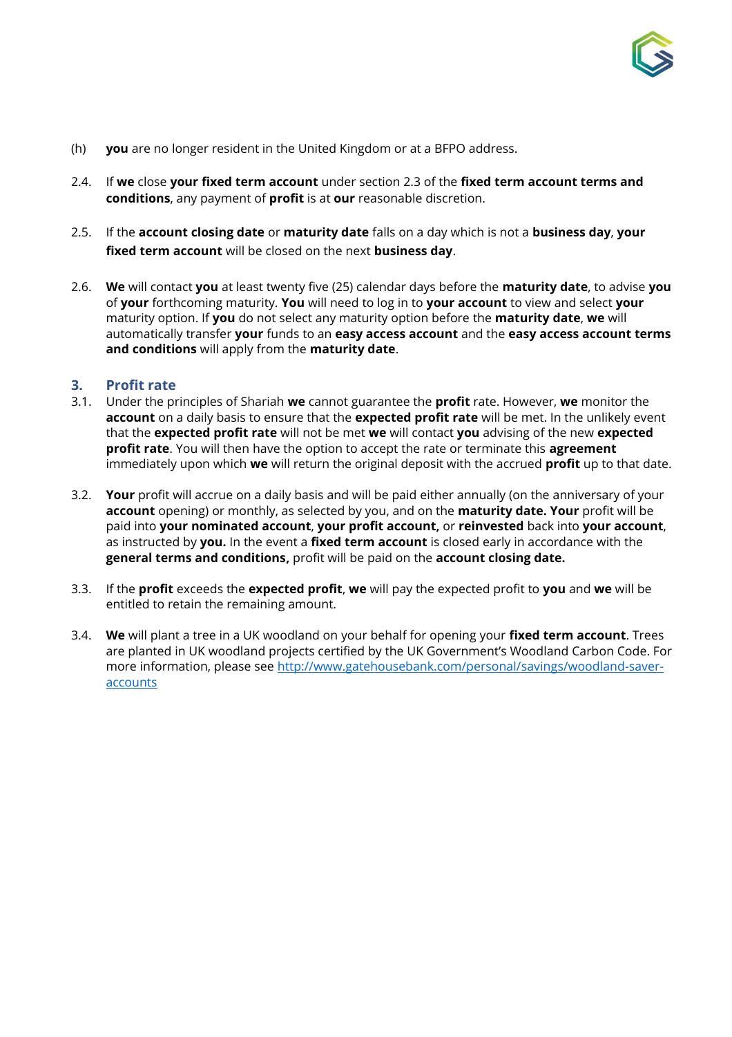

- (h) **you** are no longer resident in the United Kingdom or at a BFPO address.
- 2.4. If **we** close **your fixed term account** under section 2.3 of the **fixed term account terms and conditions**, any payment of **profit** is at **our** reasonable discretion.
- 2.5. If the **account closing date** or **maturity date** falls on a day which is not a **business day**, **your fixed term account** will be closed on the next **business day**.
- 2.6. **We** will contact **you** at least twenty five (25) calendar days before the **maturity date**, to advise **you** of **your** forthcoming maturity. **You** will need to log in to **your account** to view and select **your** maturity option. If **you** do not select any maturity option before the **maturity date**, **we** will automatically transfer **your** funds to an **easy access account** and the **easy access account terms and conditions** will apply from the **maturity date**.

#### **3. Profit rate**

- 3.1. Under the principles of Shariah **we** cannot guarantee the **profit** rate. However, **we** monitor the **account** on a daily basis to ensure that the **expected profit rate** will be met. In the unlikely event that the **expected profit rate** will not be met **we** will contact **you** advising of the new **expected profit rate**. You will then have the option to accept the rate or terminate this **agreement**  immediately upon which **we** will return the original deposit with the accrued **profit** up to that date.
- 3.2. **Your** profit will accrue on a daily basis and will be paid either annually (on the anniversary of your **account** opening) or monthly, as selected by you, and on the **maturity date. Your** profit will be paid into **your nominated account**, **your profit account,** or **reinvested** back into **your account**, as instructed by **you.** In the event a **fixed term account** is closed early in accordance with the **general terms and conditions,** profit will be paid on the **account closing date.**
- 3.3. If the **profit** exceeds the **expected profit**, **we** will pay the expected profit to **you** and **we** will be entitled to retain the remaining amount.
- 3.4. **We** will plant a tree in a UK woodland on your behalf for opening your **fixed term account**. Trees are planted in UK woodland projects certified by the UK Government's Woodland Carbon Code. For more information, please see [http://www.gatehousebank.com/personal/savings/woodland-saver](http://www.gatehousebank.com/personal/savings/woodland-saver-accounts)[accounts](http://www.gatehousebank.com/personal/savings/woodland-saver-accounts)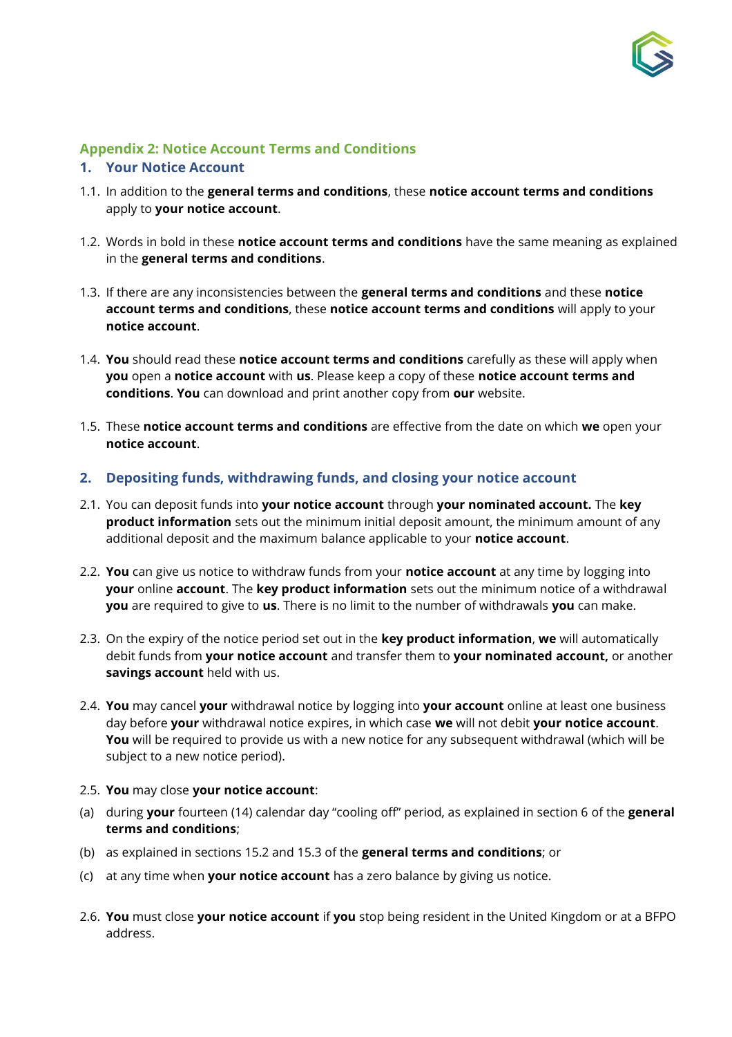

# <span id="page-15-0"></span>**Appendix 2: Notice Account Terms and Conditions**

#### **1. Your Notice Account**

- 1.1. In addition to the **general terms and conditions**, these **notice account terms and conditions** apply to **your notice account**.
- 1.2. Words in bold in these **notice account terms and conditions** have the same meaning as explained in the **general terms and conditions**.
- 1.3. If there are any inconsistencies between the **general terms and conditions** and these **notice account terms and conditions**, these **notice account terms and conditions** will apply to your **notice account**.
- 1.4. **You** should read these **notice account terms and conditions** carefully as these will apply when **you** open a **notice account** with **us**. Please keep a copy of these **notice account terms and conditions**. **You** can download and print another copy from **our** website.
- 1.5. These **notice account terms and conditions** are effective from the date on which **we** open your **notice account**.

#### **2. Depositing funds, withdrawing funds, and closing your notice account**

- 2.1. You can deposit funds into **your notice account** through **your nominated account.** The **key product information** sets out the minimum initial deposit amount, the minimum amount of any additional deposit and the maximum balance applicable to your **notice account**.
- 2.2. **You** can give us notice to withdraw funds from your **notice account** at any time by logging into **your** online **account**. The **key product information** sets out the minimum notice of a withdrawal **you** are required to give to **us**. There is no limit to the number of withdrawals **you** can make.
- 2.3. On the expiry of the notice period set out in the **key product information**, **we** will automatically debit funds from **your notice account** and transfer them to **your nominated account,** or another **savings account** held with us.
- 2.4. **You** may cancel **your** withdrawal notice by logging into **your account** online at least one business day before **your** withdrawal notice expires, in which case **we** will not debit **your notice account**. **You** will be required to provide us with a new notice for any subsequent withdrawal (which will be subject to a new notice period).
- 2.5. **You** may close **your notice account**:
- (a) during **your** fourteen (14) calendar day "cooling off" period, as explained in section 6 of the **general terms and conditions**;
- (b) as explained in sections 15.2 and 15.3 of the **general terms and conditions**; or
- (c) at any time when **your notice account** has a zero balance by giving us notice.
- 2.6. **You** must close **your notice account** if **you** stop being resident in the United Kingdom or at a BFPO address.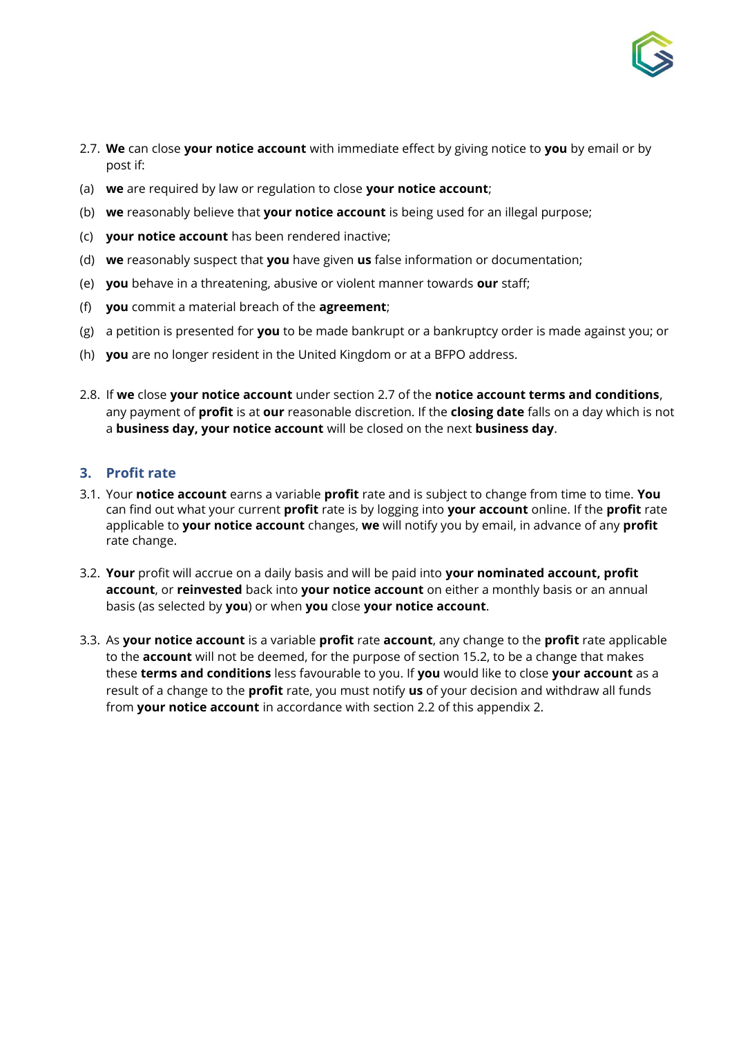

- 2.7. **We** can close **your notice account** with immediate effect by giving notice to **you** by email or by post if:
- (a) **we** are required by law or regulation to close **your notice account**;
- (b) **we** reasonably believe that **your notice account** is being used for an illegal purpose;
- (c) **your notice account** has been rendered inactive;
- (d) **we** reasonably suspect that **you** have given **us** false information or documentation;
- (e) **you** behave in a threatening, abusive or violent manner towards **our** staff;
- (f) **you** commit a material breach of the **agreement**;
- (g) a petition is presented for **you** to be made bankrupt or a bankruptcy order is made against you; or
- (h) **you** are no longer resident in the United Kingdom or at a BFPO address.
- 2.8. If **we** close **your notice account** under section 2.7 of the **notice account terms and conditions**, any payment of **profit** is at **our** reasonable discretion. If the **closing date** falls on a day which is not a **business day, your notice account** will be closed on the next **business day**.

# **3. Profit rate**

- 3.1. Your **notice account** earns a variable **profit** rate and is subject to change from time to time. **You** can find out what your current **profit** rate is by logging into **your account** online. If the **profit** rate applicable to **your notice account** changes, **we** will notify you by email, in advance of any **profit**  rate change.
- 3.2. **Your** profit will accrue on a daily basis and will be paid into **your nominated account, profit account**, or **reinvested** back into **your notice account** on either a monthly basis or an annual basis (as selected by **you**) or when **you** close **your notice account**.
- 3.3. As **your notice account** is a variable **profit** rate **account**, any change to the **profit** rate applicable to the **account** will not be deemed, for the purpose of section 15.2, to be a change that makes these **terms and conditions** less favourable to you. If **you** would like to close **your account** as a result of a change to the **profit** rate, you must notify **us** of your decision and withdraw all funds from **your notice account** in accordance with section 2.2 of this appendix 2.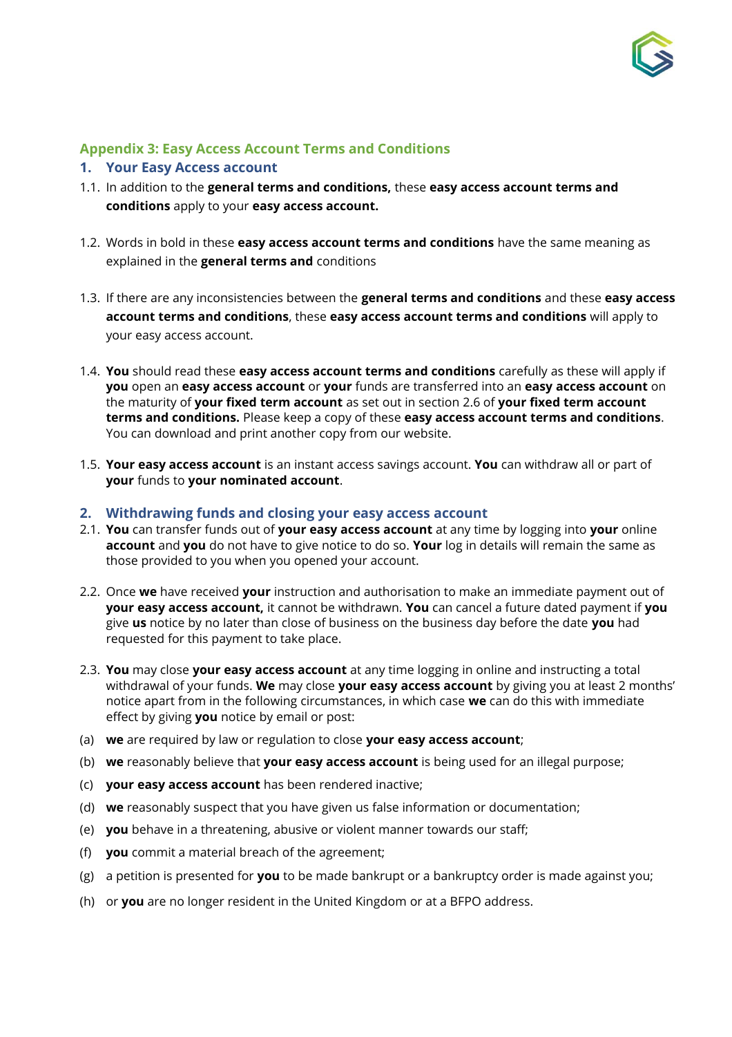

# <span id="page-17-0"></span>**Appendix 3: Easy Access Account Terms and Conditions**

#### **1. Your Easy Access account**

- 1.1. In addition to the **general terms and conditions,** these **easy access account terms and conditions** apply to your **easy access account.**
- 1.2. Words in bold in these **easy access account terms and conditions** have the same meaning as explained in the **general terms and** conditions
- 1.3. If there are any inconsistencies between the **general terms and conditions** and these **easy access account terms and conditions**, these **easy access account terms and conditions** will apply to your easy access account.
- 1.4. **You** should read these **easy access account terms and conditions** carefully as these will apply if **you** open an **easy access account** or **your** funds are transferred into an **easy access account** on the maturity of **your fixed term account** as set out in section 2.6 of **your fixed term account terms and conditions.** Please keep a copy of these **easy access account terms and conditions**. You can download and print another copy from our website.
- 1.5. **Your easy access account** is an instant access savings account. **You** can withdraw all or part of **your** funds to **your nominated account**.

#### **2. Withdrawing funds and closing your easy access account**

- 2.1. **You** can transfer funds out of **your easy access account** at any time by logging into **your** online **account** and **you** do not have to give notice to do so. **Your** log in details will remain the same as those provided to you when you opened your account.
- 2.2. Once **we** have received **your** instruction and authorisation to make an immediate payment out of **your easy access account,** it cannot be withdrawn. **You** can cancel a future dated payment if **you** give **us** notice by no later than close of business on the business day before the date **you** had requested for this payment to take place.
- 2.3. **You** may close **your easy access account** at any time logging in online and instructing a total withdrawal of your funds. **We** may close **your easy access account** by giving you at least 2 months' notice apart from in the following circumstances, in which case **we** can do this with immediate effect by giving **you** notice by email or post:
- (a) **we** are required by law or regulation to close **your easy access account**;
- (b) **we** reasonably believe that **your easy access account** is being used for an illegal purpose;
- (c) **your easy access account** has been rendered inactive;
- (d) **we** reasonably suspect that you have given us false information or documentation;
- (e) **you** behave in a threatening, abusive or violent manner towards our staff;
- (f) **you** commit a material breach of the agreement;
- (g) a petition is presented for **you** to be made bankrupt or a bankruptcy order is made against you;
- (h) or **you** are no longer resident in the United Kingdom or at a BFPO address.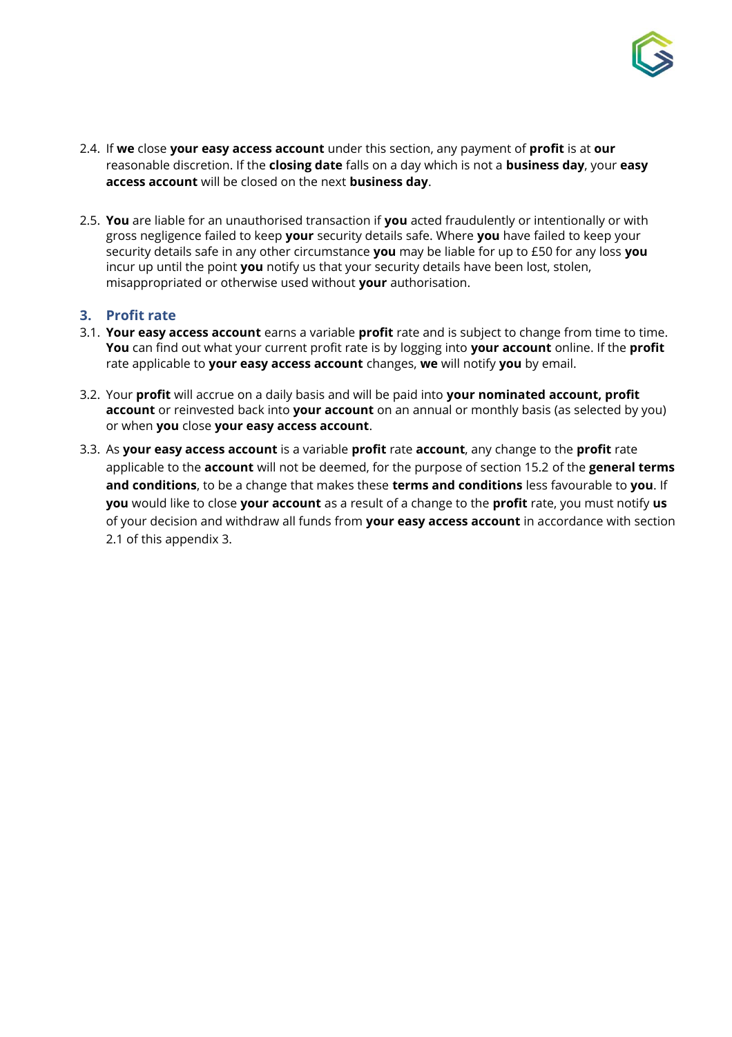

- 2.4. If **we** close **your easy access account** under this section, any payment of **profit** is at **our** reasonable discretion. If the **closing date** falls on a day which is not a **business day**, your **easy access account** will be closed on the next **business day**.
- 2.5. **You** are liable for an unauthorised transaction if **you** acted fraudulently or intentionally or with gross negligence failed to keep **your** security details safe. Where **you** have failed to keep your security details safe in any other circumstance **you** may be liable for up to £50 for any loss **you** incur up until the point **you** notify us that your security details have been lost, stolen, misappropriated or otherwise used without **your** authorisation.

## **3. Profit rate**

- 3.1. **Your easy access account** earns a variable **profit** rate and is subject to change from time to time. **You** can find out what your current profit rate is by logging into **your account** online. If the **profit** rate applicable to **your easy access account** changes, **we** will notify **you** by email.
- 3.2. Your **profit** will accrue on a daily basis and will be paid into **your nominated account, profit account** or reinvested back into **your account** on an annual or monthly basis (as selected by you) or when **you** close **your easy access account**.
- 3.3. As **your easy access account** is a variable **profit** rate **account**, any change to the **profit** rate applicable to the **account** will not be deemed, for the purpose of section 15.2 of the **general terms and conditions**, to be a change that makes these **terms and conditions** less favourable to **you**. If **you** would like to close **your account** as a result of a change to the **profit** rate, you must notify **us** of your decision and withdraw all funds from **your easy access account** in accordance with section 2.1 of this appendix 3.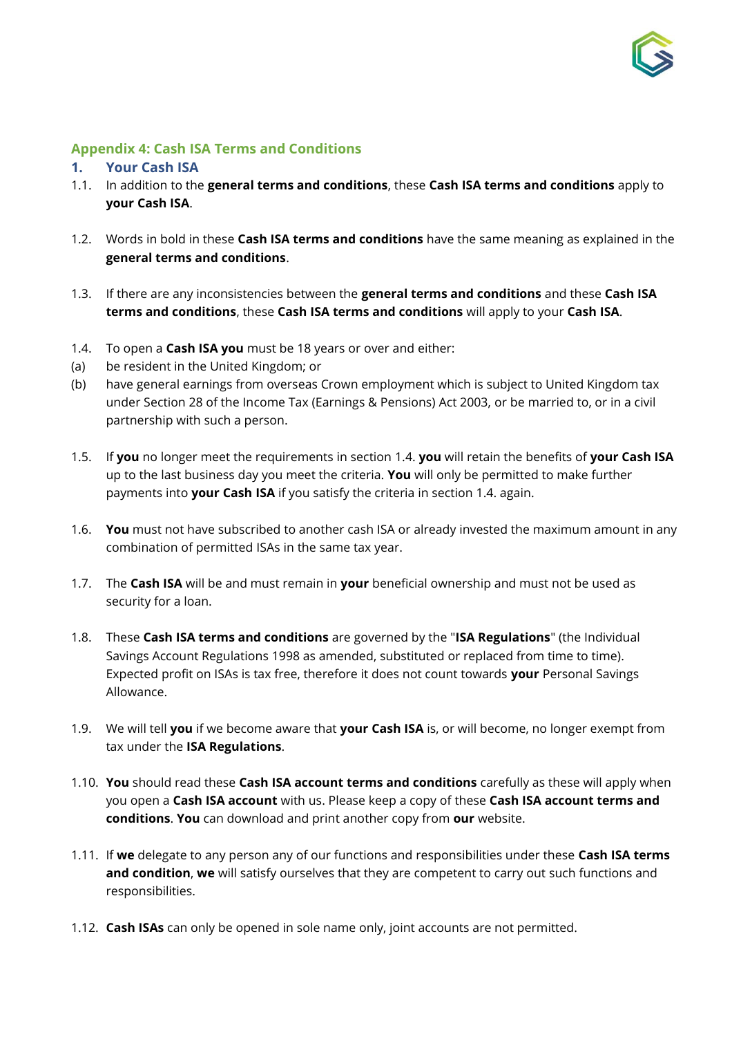

## **Appendix 4: Cash ISA Terms and Conditions**

#### **1. Your Cash ISA**

- 1.1. In addition to the **general terms and conditions**, these **Cash ISA terms and conditions** apply to **your Cash ISA**.
- 1.2. Words in bold in these **Cash ISA terms and conditions** have the same meaning as explained in the **general terms and conditions**.
- 1.3. If there are any inconsistencies between the **general terms and conditions** and these **Cash ISA terms and conditions**, these **Cash ISA terms and conditions** will apply to your **Cash ISA**.
- 1.4. To open a **Cash ISA you** must be 18 years or over and either:
- (a) be resident in the United Kingdom; or
- (b) have general earnings from overseas Crown employment which is subject to United Kingdom tax under Section 28 of the Income Tax (Earnings & Pensions) Act 2003, or be married to, or in a civil partnership with such a person.
- 1.5. If **you** no longer meet the requirements in section 1.4. **you** will retain the benefits of **your Cash ISA** up to the last business day you meet the criteria. **You** will only be permitted to make further payments into **your Cash ISA** if you satisfy the criteria in section 1.4. again.
- 1.6. **You** must not have subscribed to another cash ISA or already invested the maximum amount in any combination of permitted ISAs in the same tax year.
- 1.7. The **Cash ISA** will be and must remain in **your** beneficial ownership and must not be used as security for a loan.
- 1.8. These **Cash ISA terms and conditions** are governed by the "**ISA Regulations**" (the Individual Savings Account Regulations 1998 as amended, substituted or replaced from time to time). Expected profit on ISAs is tax free, therefore it does not count towards **your** Personal Savings Allowance.
- 1.9. We will tell **you** if we become aware that **your Cash ISA** is, or will become, no longer exempt from tax under the **ISA Regulations**.
- 1.10. **You** should read these **Cash ISA account terms and conditions** carefully as these will apply when you open a **Cash ISA account** with us. Please keep a copy of these **Cash ISA account terms and conditions**. **You** can download and print another copy from **our** website.
- 1.11. If **we** delegate to any person any of our functions and responsibilities under these **Cash ISA terms and condition**, **we** will satisfy ourselves that they are competent to carry out such functions and responsibilities.
- 1.12. **Cash ISAs** can only be opened in sole name only, joint accounts are not permitted.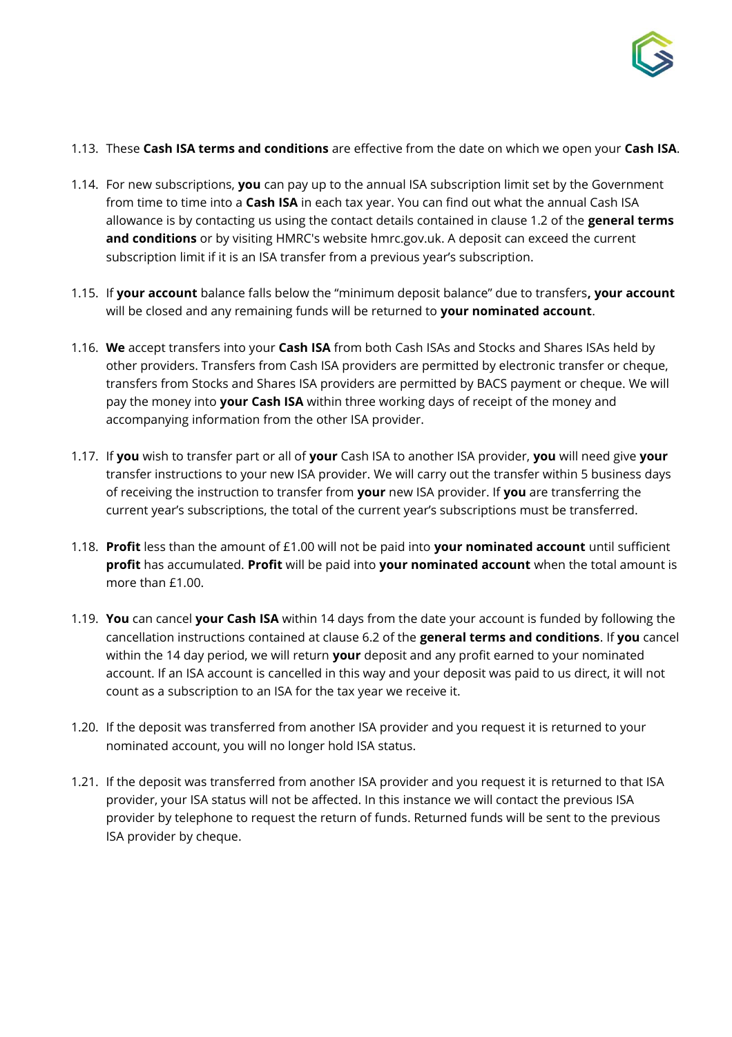

#### 1.13. These **Cash ISA terms and conditions** are effective from the date on which we open your **Cash ISA**.

- 1.14. For new subscriptions, **you** can pay up to the annual ISA subscription limit set by the Government from time to time into a **Cash ISA** in each tax year. You can find out what the annual Cash ISA allowance is by contacting us using the contact details contained in clause 1.2 of the **general terms and conditions** or by visiting HMRC's website hmrc.gov.uk. A deposit can exceed the current subscription limit if it is an ISA transfer from a previous year's subscription.
- 1.15. If **your account** balance falls below the "minimum deposit balance" due to transfers**, your account** will be closed and any remaining funds will be returned to **your nominated account**.
- 1.16. **We** accept transfers into your **Cash ISA** from both Cash ISAs and Stocks and Shares ISAs held by other providers. Transfers from Cash ISA providers are permitted by electronic transfer or cheque, transfers from Stocks and Shares ISA providers are permitted by BACS payment or cheque. We will pay the money into **your Cash ISA** within three working days of receipt of the money and accompanying information from the other ISA provider.
- 1.17. If **you** wish to transfer part or all of **your** Cash ISA to another ISA provider, **you** will need give **your**  transfer instructions to your new ISA provider. We will carry out the transfer within 5 business days of receiving the instruction to transfer from **your** new ISA provider. If **you** are transferring the current year's subscriptions, the total of the current year's subscriptions must be transferred.
- 1.18. **Profit** less than the amount of £1.00 will not be paid into **your nominated account** until sufficient **profit** has accumulated. **Profit** will be paid into **your nominated account** when the total amount is more than £1.00.
- 1.19. **You** can cancel **your Cash ISA** within 14 days from the date your account is funded by following the cancellation instructions contained at clause 6.2 of the **general terms and conditions**. If **you** cancel within the 14 day period, we will return **your** deposit and any profit earned to your nominated account. If an ISA account is cancelled in this way and your deposit was paid to us direct, it will not count as a subscription to an ISA for the tax year we receive it.
- 1.20. If the deposit was transferred from another ISA provider and you request it is returned to your nominated account, you will no longer hold ISA status.
- 1.21. If the deposit was transferred from another ISA provider and you request it is returned to that ISA provider, your ISA status will not be affected. In this instance we will contact the previous ISA provider by telephone to request the return of funds. Returned funds will be sent to the previous ISA provider by cheque.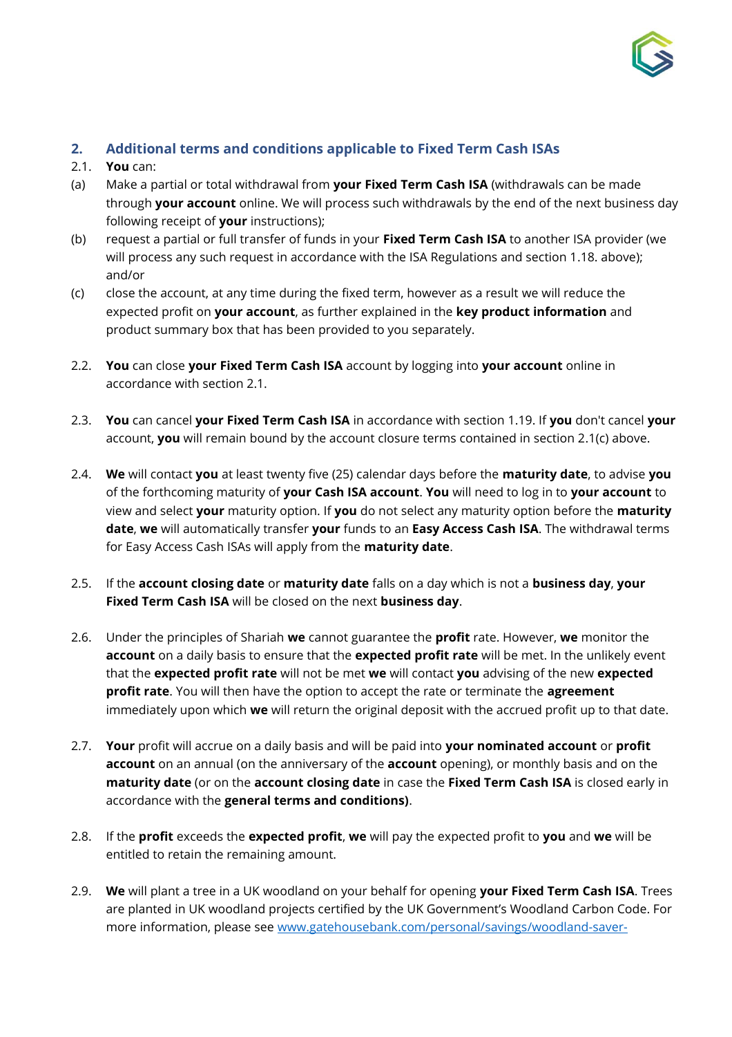

## **2. Additional terms and conditions applicable to Fixed Term Cash ISAs**

- 2.1. **You** can:
- (a) Make a partial or total withdrawal from **your Fixed Term Cash ISA** (withdrawals can be made through **your account** online. We will process such withdrawals by the end of the next business day following receipt of **your** instructions);
- (b) request a partial or full transfer of funds in your **Fixed Term Cash ISA** to another ISA provider (we will process any such request in accordance with the ISA Regulations and section 1.18. above); and/or
- (c) close the account, at any time during the fixed term, however as a result we will reduce the expected profit on **your account**, as further explained in the **key product information** and product summary box that has been provided to you separately.
- 2.2. **You** can close **your Fixed Term Cash ISA** account by logging into **your account** online in accordance with section 2.1.
- 2.3. **You** can cancel **your Fixed Term Cash ISA** in accordance with section 1.19. If **you** don't cancel **your**  account, **you** will remain bound by the account closure terms contained in section 2.1(c) above.
- 2.4. **We** will contact **you** at least twenty five (25) calendar days before the **maturity date**, to advise **you** of the forthcoming maturity of **your Cash ISA account**. **You** will need to log in to **your account** to view and select **your** maturity option. If **you** do not select any maturity option before the **maturity date**, **we** will automatically transfer **your** funds to an **Easy Access Cash ISA**. The withdrawal terms for Easy Access Cash ISAs will apply from the **maturity date**.
- 2.5. If the **account closing date** or **maturity date** falls on a day which is not a **business day**, **your Fixed Term Cash ISA** will be closed on the next **business day**.
- 2.6. Under the principles of Shariah **we** cannot guarantee the **profit** rate. However, **we** monitor the **account** on a daily basis to ensure that the **expected profit rate** will be met. In the unlikely event that the **expected profit rate** will not be met **we** will contact **you** advising of the new **expected profit rate**. You will then have the option to accept the rate or terminate the **agreement**  immediately upon which **we** will return the original deposit with the accrued profit up to that date.
- 2.7. **Your** profit will accrue on a daily basis and will be paid into **your nominated account** or **profit account** on an annual (on the anniversary of the **account** opening), or monthly basis and on the **maturity date** (or on the **account closing date** in case the **Fixed Term Cash ISA** is closed early in accordance with the **general terms and conditions)**.
- 2.8. If the **profit** exceeds the **expected profit**, **we** will pay the expected profit to **you** and **we** will be entitled to retain the remaining amount.
- 2.9. **We** will plant a tree in a UK woodland on your behalf for opening **your Fixed Term Cash ISA**. Trees are planted in UK woodland projects certified by the UK Government's Woodland Carbon Code. For more information, please see [www.gatehousebank.com/personal/savings/woodland-saver-](http://www.gatehousebank.com/personal/savings/woodland-saver-accounts)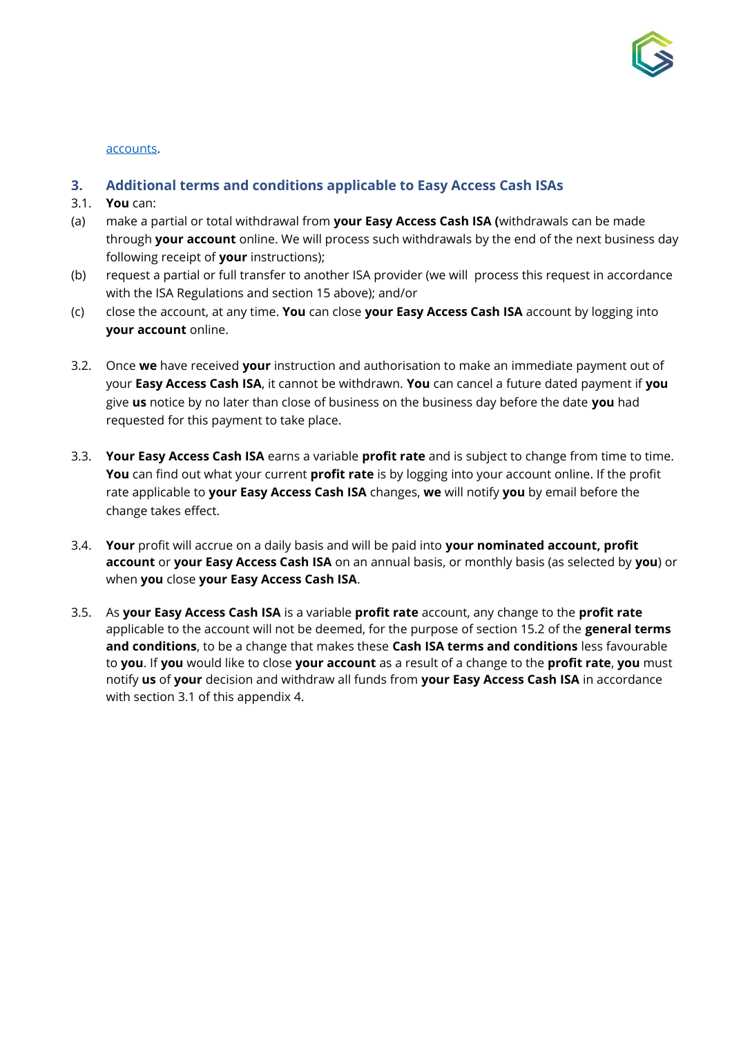

#### [accounts.](http://www.gatehousebank.com/personal/savings/woodland-saver-accounts)

### **3. Additional terms and conditions applicable to Easy Access Cash ISAs**

- 3.1. **You** can:
- (a) make a partial or total withdrawal from **your Easy Access Cash ISA (**withdrawals can be made through **your account** online. We will process such withdrawals by the end of the next business day following receipt of **your** instructions);
- (b) request a partial or full transfer to another ISA provider (we will process this request in accordance with the ISA Regulations and section 15 above); and/or
- (c) close the account, at any time. **You** can close **your Easy Access Cash ISA** account by logging into **your account** online.
- 3.2. Once **we** have received **your** instruction and authorisation to make an immediate payment out of your **Easy Access Cash ISA**, it cannot be withdrawn. **You** can cancel a future dated payment if **you** give **us** notice by no later than close of business on the business day before the date **you** had requested for this payment to take place.
- 3.3. **Your Easy Access Cash ISA** earns a variable **profit rate** and is subject to change from time to time. **You** can find out what your current **profit rate** is by logging into your account online. If the profit rate applicable to **your Easy Access Cash ISA** changes, **we** will notify **you** by email before the change takes effect.
- 3.4. **Your** profit will accrue on a daily basis and will be paid into **your nominated account, profit account** or **your Easy Access Cash ISA** on an annual basis, or monthly basis (as selected by **you**) or when **you** close **your Easy Access Cash ISA**.
- 3.5. As **your Easy Access Cash ISA** is a variable **profit rate** account, any change to the **profit rate** applicable to the account will not be deemed, for the purpose of section 15.2 of the **general terms and conditions**, to be a change that makes these **Cash ISA terms and conditions** less favourable to **you**. If **you** would like to close **your account** as a result of a change to the **profit rate**, **you** must notify **us** of **your** decision and withdraw all funds from **your Easy Access Cash ISA** in accordance with section 3.1 of this appendix 4.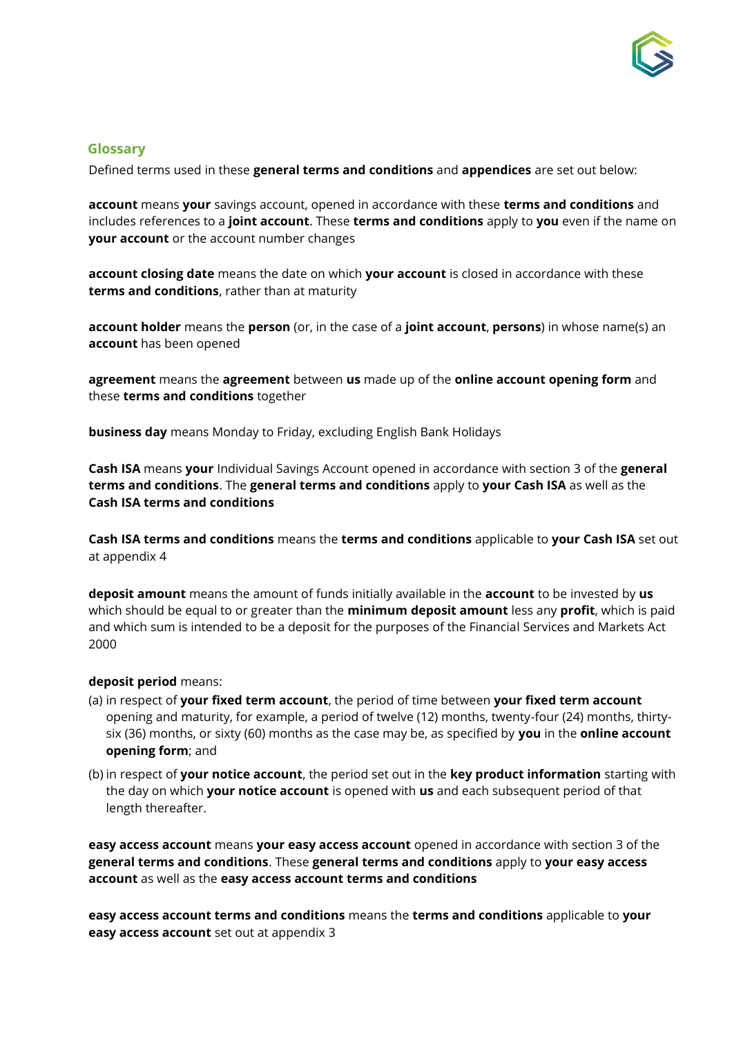

### <span id="page-23-0"></span>**Glossary**

Defined terms used in these **general terms and conditions** and **appendices** are set out below:

**account** means **your** savings account, opened in accordance with these **terms and conditions** and includes references to a **joint account**. These **terms and conditions** apply to **you** even if the name on **your account** or the account number changes

**account closing date** means the date on which **your account** is closed in accordance with these **terms and conditions**, rather than at maturity

**account holder** means the **person** (or, in the case of a **joint account**, **persons**) in whose name(s) an **account** has been opened

**agreement** means the **agreement** between **us** made up of the **online account opening form** and these **terms and conditions** together

**business day** means Monday to Friday, excluding English Bank Holidays

**Cash ISA** means **your** Individual Savings Account opened in accordance with section 3 of the **general terms and conditions**. The **general terms and conditions** apply to **your Cash ISA** as well as the **Cash ISA terms and conditions** 

**Cash ISA terms and conditions** means the **terms and conditions** applicable to **your Cash ISA** set out at appendix 4

**deposit amount** means the amount of funds initially available in the **account** to be invested by **us** which should be equal to or greater than the **minimum deposit amount** less any **profit**, which is paid and which sum is intended to be a deposit for the purposes of the Financial Services and Markets Act 2000

#### **deposit period** means:

- (a) in respect of **your fixed term account**, the period of time between **your fixed term account** opening and maturity, for example, a period of twelve (12) months, twenty-four (24) months, thirtysix (36) months, or sixty (60) months as the case may be, as specified by **you** in the **online account opening form**; and
- (b) in respect of **your notice account**, the period set out in the **key product information** starting with the day on which **your notice account** is opened with **us** and each subsequent period of that length thereafter.

**easy access account** means **your easy access account** opened in accordance with section 3 of the **general terms and conditions**. These **general terms and conditions** apply to **your easy access account** as well as the **easy access account terms and conditions** 

**easy access account terms and conditions** means the **terms and conditions** applicable to **your easy access account** set out at appendix 3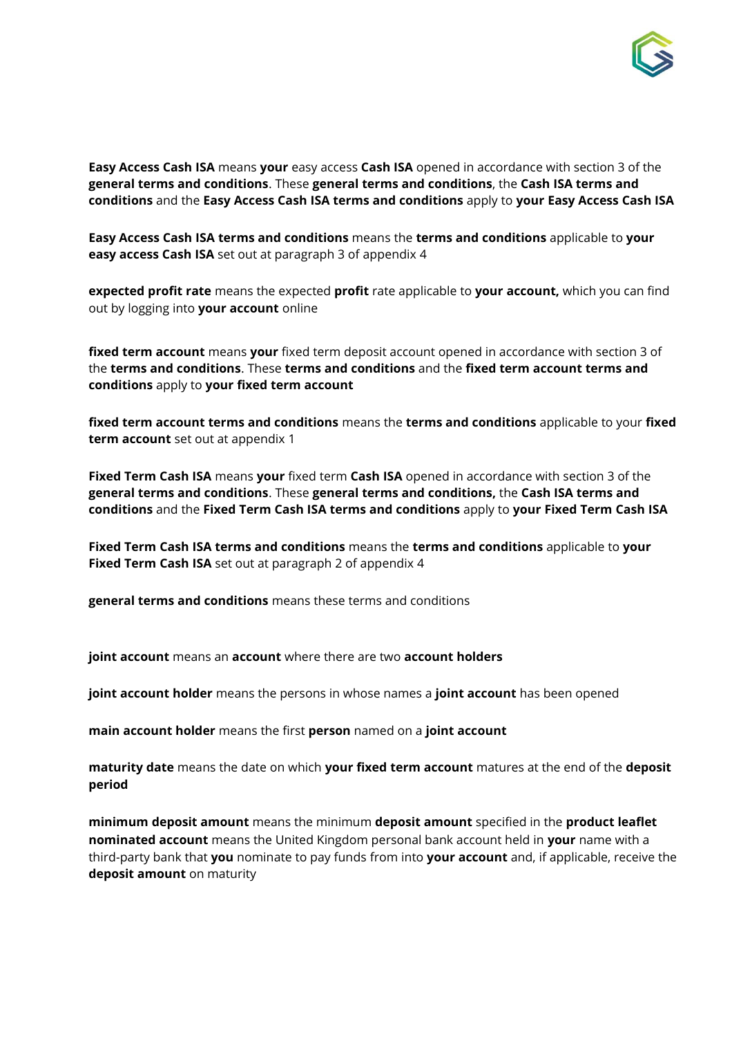

**Easy Access Cash ISA** means **your** easy access **Cash ISA** opened in accordance with section 3 of the **general terms and conditions**. These **general terms and conditions**, the **Cash ISA terms and conditions** and the **Easy Access Cash ISA terms and conditions** apply to **your Easy Access Cash ISA**

**Easy Access Cash ISA terms and conditions** means the **terms and conditions** applicable to **your easy access Cash ISA** set out at paragraph 3 of appendix 4

**expected profit rate** means the expected **profit** rate applicable to **your account,** which you can find out by logging into **your account** online

**fixed term account** means **your** fixed term deposit account opened in accordance with section 3 of the **terms and conditions**. These **terms and conditions** and the **fixed term account terms and conditions** apply to **your fixed term account** 

**fixed term account terms and conditions** means the **terms and conditions** applicable to your **fixed term account** set out at appendix 1

**Fixed Term Cash ISA** means **your** fixed term **Cash ISA** opened in accordance with section 3 of the **general terms and conditions**. These **general terms and conditions,** the **Cash ISA terms and conditions** and the **Fixed Term Cash ISA terms and conditions** apply to **your Fixed Term Cash ISA**

**Fixed Term Cash ISA terms and conditions** means the **terms and conditions** applicable to **your Fixed Term Cash ISA** set out at paragraph 2 of appendix 4

**general terms and conditions** means these terms and conditions

**joint account** means an **account** where there are two **account holders** 

**joint account holder** means the persons in whose names a **joint account** has been opened

**main account holder** means the first **person** named on a **joint account** 

**maturity date** means the date on which **your fixed term account** matures at the end of the **deposit period** 

**minimum deposit amount** means the minimum **deposit amount** specified in the **product leaflet nominated account** means the United Kingdom personal bank account held in **your** name with a third-party bank that **you** nominate to pay funds from into **your account** and, if applicable, receive the **deposit amount** on maturity